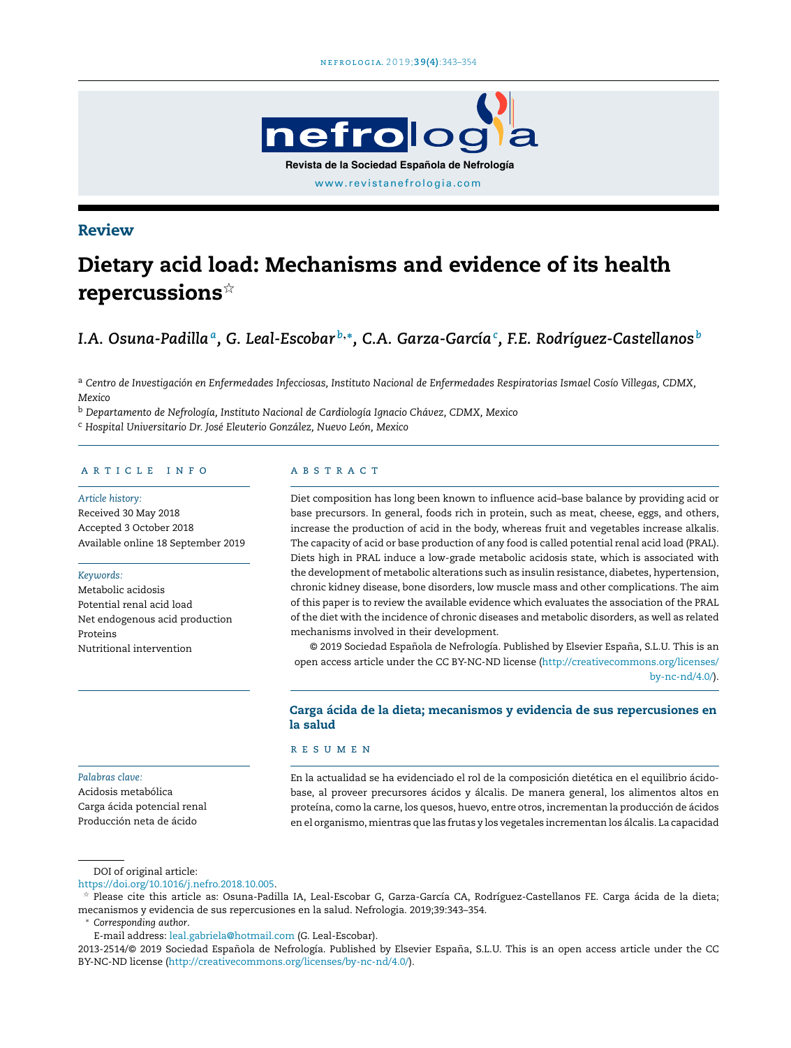

## Review

# Dietary acid load: Mechanisms and evidence of its health repercussions $\mathbb{\dot{}}$

## *I.A. Osuna-Padilla<sup>a</sup> , G. Leal-Escobar <sup>b</sup>*,<sup>∗</sup> *, C.A. Garza-García<sup>c</sup> , F.E. Rodríguez-Castellanos <sup>b</sup>*

a Centro de Investigación en Enfermedades Infecciosas, Instituto Nacional de Enfermedades Respiratorias Ismael Cosío Villegas, CDMX, *Mexico*

<sup>b</sup> *Departamento de Nefrología, Instituto Nacional de Cardiología Ignacio Chávez, CDMX, Mexico*

<sup>c</sup> *Hospital Universitario Dr. José Eleuterio González, Nuevo León, Mexico*

## a r t i c l e i n f o

*Article history:* Received 30 May 2018 Accepted 3 October 2018 Available online 18 September 2019

#### *Keywords:*

Metabolic acidosis Potential renal acid load Net endogenous acid production Proteins Nutritional intervention

## a b s t r a c t

Diet composition has long been known to influence acid–base balance by providing acid or base precursors. In general, foods rich in protein, such as meat, cheese, eggs, and others, increase the production of acid in the body, whereas fruit and vegetables increase alkalis. The capacity of acid or base production of any food is called potential renal acid load (PRAL). Diets high in PRAL induce a low-grade metabolic acidosis state, which is associated with the development of metabolic alterations such as insulin resistance, diabetes, hypertension, chronic kidney disease, bone disorders, low muscle mass and other complications. The aim of this paper is to review the available evidence which evaluates the association of the PRAL of the diet with the incidence of chronic diseases and metabolic disorders, as well as related mechanisms involved in their development.

© 2019 Sociedad Española de Nefrología. Published by Elsevier España, S.L.U. This is an open access article under the CC BY-NC-ND license [\(http://creativecommons.org/licenses/](http://creativecommons.org/licenses/by-nc-nd/4.0/) [by-nc-nd/4.0/\)](http://creativecommons.org/licenses/by-nc-nd/4.0/).

## Carga ácida de la dieta; mecanismos y evidencia de sus repercusiones en la salud

#### r e s u m e n

En la actualidad se ha evidenciado el rol de la composición dietética en el equilibrio ácidobase, al proveer precursores ácidos y álcalis. De manera general, los alimentos altos en proteína, como la carne, los quesos, huevo, entre otros, incrementan la producción de ácidos en el organismo, mientras que las frutas y los vegetales incrementan los álcalis. La capacidad

*Palabras clave:* Acidosis metabólica

Carga ácida potencial renal Producción neta de ácido

DOI of original article:

[https://doi.org/10.1016/j.nefro.2018.10.005.](https://doi.org/10.1016/j.nefro.2018.10.005)

- Please cite this article as: Osuna-Padilla IA, Leal-Escobar G, Garza-García CA, Rodríguez-Castellanos FE. Carga ácida de la dieta; mecanismos y evidencia de sus repercusiones en la salud. Nefrologia. 2019;39:343–354.

<sup>∗</sup> *Corresponding author*.

E-mail address: [leal.gabriela@hotmail.com](mailto:leal.gabriela@hotmail.com) (G. Leal-Escobar).

<sup>2013-2514/© 2019</sup> Sociedad Española de Nefrología. Published by Elsevier España, S.L.U. This is an open access article under the CC BY-NC-ND license (<http://creativecommons.org/licenses/by-nc-nd/4.0/>).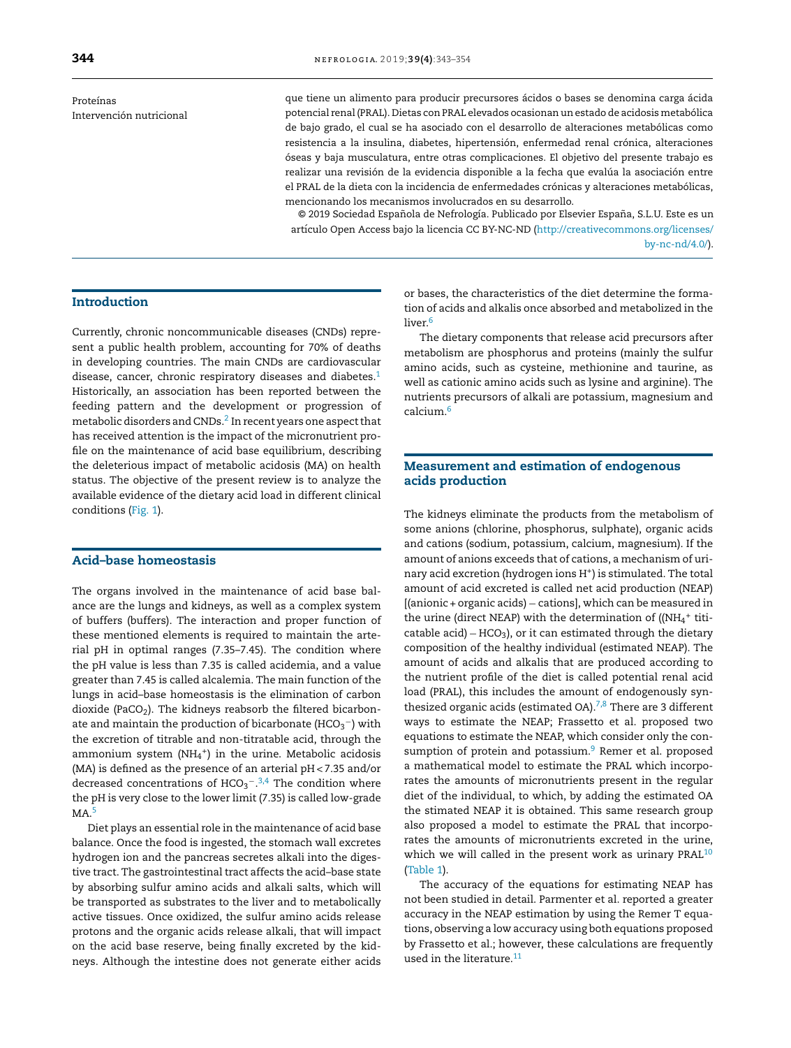Proteínas Intervención nutricional

que tiene un alimento para producir precursores ácidos o bases se denomina carga ácida potencial renal (PRAL). Dietas con PRAL elevados ocasionan un estado de acidosis metabólica de bajo grado, el cual se ha asociado con el desarrollo de alteraciones metabólicas como resistencia a la insulina, diabetes, hipertensión, enfermedad renal crónica, alteraciones óseas y baja musculatura, entre otras complicaciones. El objetivo del presente trabajo es realizar una revisión de la evidencia disponible a la fecha que evalúa la asociación entre el PRAL de la dieta con la incidencia de enfermedades crónicas y alteraciones metabólicas, mencionando los mecanismos involucrados en su desarrollo.

© 2019 Sociedad Española de Nefrología. Publicado por Elsevier España, S.L.U. Este es un artículo Open Access bajo la licencia CC BY-NC-ND [\(http://creativecommons.org/licenses/](http://creativecommons.org/licenses/by-nc-nd/4.0/) [by-nc-nd/4.0/\)](http://creativecommons.org/licenses/by-nc-nd/4.0/).

## Introduction

Currently, chronic noncommunicable diseases (CNDs) represent a public health problem, accounting for 70% of deaths in developing countries. The main CNDs are cardiovascular disease, cancer, chronic respiratory diseases and diabetes.<sup>[1](#page-8-0)</sup> Historically, an association has been reported between the feeding pattern and the development or progression of metabolic disorders and CNDs. $^2$  $^2$  In recent years one aspect that has received attention is the impact of the micronutrient profile on the maintenance of acid base equilibrium, describing the deleterious impact of metabolic acidosis (MA) on health status. The objective of the present review is to analyze the available evidence of the dietary acid load in different clinical conditions [\(Fig.](#page-2-0) 1).

#### Acid–base homeostasis

The organs involved in the maintenance of acid base balance are the lungs and kidneys, as well as a complex system of buffers (buffers). The interaction and proper function of these mentioned elements is required to maintain the arterial pH in optimal ranges (7.35–7.45). The condition where the pH value is less than 7.35 is called acidemia, and a value greater than 7.45 is called alcalemia. The main function of the lungs in acid–base homeostasis is the elimination of carbon dioxide (PaCO<sub>2</sub>). The kidneys reabsorb the filtered bicarbonate and maintain the production of bicarbonate (HCO<sub>3</sub><sup>–</sup>) with the excretion of titrable and non-titratable acid, through the ammonium system ( $NH<sub>4</sub>$ <sup>+</sup>) in the urine. Metabolic acidosis (MA) is defined as the presence of an arterial pH < 7.35 and/or decreased concentrations of  $HCO_3^-, ^{3,4}$  $HCO_3^-, ^{3,4}$  $HCO_3^-, ^{3,4}$  The condition where the pH is very close to the lower limit (7.35) is called low-grade  $MA.<sup>5</sup>$  $MA.<sup>5</sup>$  $MA.<sup>5</sup>$ 

Diet plays an essential role in the maintenance of acid base balance. Once the food is ingested, the stomach wall excretes hydrogen ion and the pancreas secretes alkali into the digestive tract. The gastrointestinal tract affects the acid–base state by absorbing sulfur amino acids and alkali salts, which will be transported as substrates to the liver and to metabolically active tissues. Once oxidized, the sulfur amino acids release protons and the organic acids release alkali, that will impact on the acid base reserve, being finally excreted by the kidneys. Although the intestine does not generate either acids or bases, the characteristics of the diet determine the formation of acids and alkalis once absorbed and metabolized in the liver.<sup>[6](#page-8-0)</sup>

The dietary components that release acid precursors after metabolism are phosphorus and proteins (mainly the sulfur amino acids, such as cysteine, methionine and taurine, as well as cationic amino acids such as lysine and arginine). The nutrients precursors of alkali are potassium, magnesium and calcium.[6](#page-8-0)

## Measurement and estimation of endogenous acids production

The kidneys eliminate the products from the metabolism of some anions (chlorine, phosphorus, sulphate), organic acids and cations (sodium, potassium, calcium, magnesium). If the amount of anions exceeds that of cations, a mechanism of urinary acid excretion (hydrogen ions H<sup>+</sup> ) is stimulated. The total amount of acid excreted is called net acid production (NEAP) [(anionic + organic acids) − cations], which can be measured in the urine (direct NEAP) with the determination of ((NH $_4$ <sup>+</sup> titicatable acid) –  $HCO<sub>3</sub>$ ), or it can estimated through the dietary composition of the healthy individual (estimated NEAP). The amount of acids and alkalis that are produced according to the nutrient profile of the diet is called potential renal acid load (PRAL), this includes the amount of endogenously synthesized organic acids (estimated OA). $^{7,8}$  $^{7,8}$  $^{7,8}$  There are 3 different ways to estimate the NEAP; Frassetto et al. proposed two equations to estimate the NEAP, which consider only the con-sumption of protein and potassium.<sup>[9](#page-8-0)</sup> Remer et al. proposed a mathematical model to estimate the PRAL which incorporates the amounts of micronutrients present in the regular diet of the individual, to which, by adding the estimated OA the stimated NEAP it is obtained. This same research group also proposed a model to estimate the PRAL that incorporates the amounts of micronutrients excreted in the urine, which we will called in the present work as urinary  $\text{PRAL}^{10}$  $\text{PRAL}^{10}$  $\text{PRAL}^{10}$ ([Table](#page-2-0) 1).

The accuracy of the equations for estimating NEAP has not been studied in detail. Parmenter et al. reported a greater accuracy in the NEAP estimation by using the Remer T equations, observing a low accuracy using both equations proposed by Frassetto et al.; however, these calculations are frequently used in the literature. $11$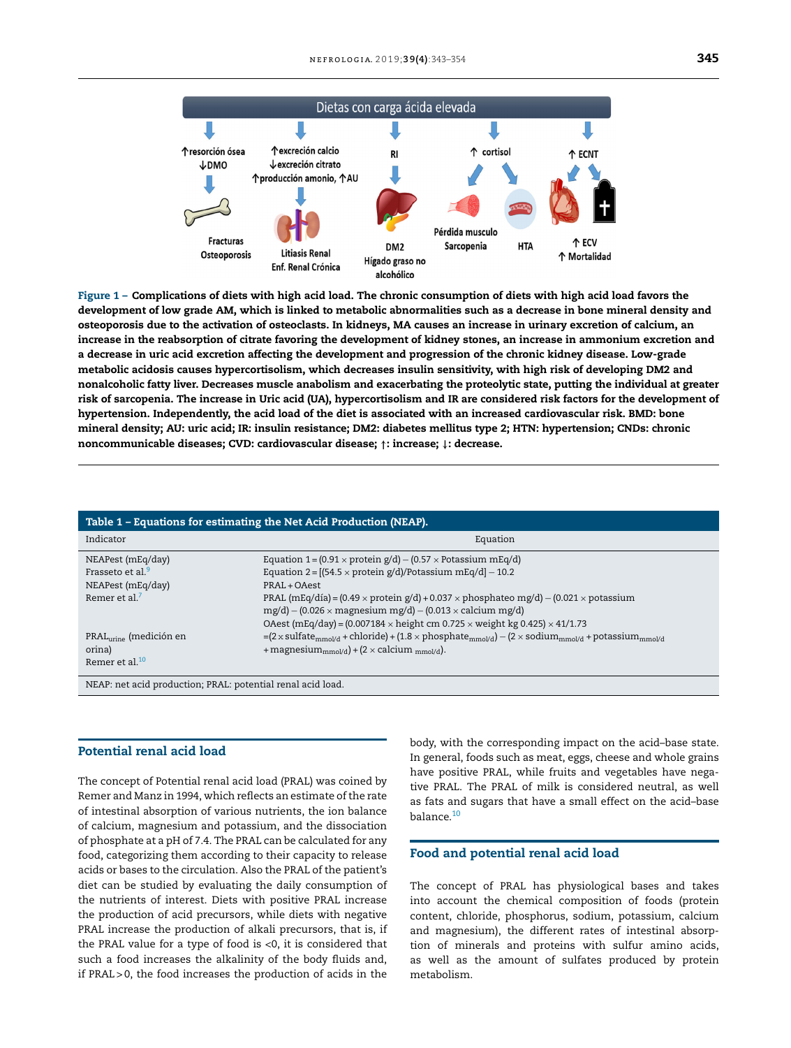<span id="page-2-0"></span>

Figure 1 – Complications of diets with high acid load. The chronic consumption of diets with high acid load favors the development of low grade AM, which is linked to metabolic abnormalities such as a decrease in bone mineral density and osteoporosis due to the activation of osteoclasts. In kidneys, MA causes an increase in urinary excretion of calcium, an increase in the reabsorption of citrate favoring the development of kidney stones, an increase in ammonium excretion and a decrease in uric acid excretion affecting the development and progression of the chronic kidney disease. Low-grade metabolic acidosis causes hypercortisolism, which decreases insulin sensitivity, with high risk of developing DM2 and nonalcoholic fatty liver. Decreases muscle anabolism and exacerbating the proteolytic state, putting the individual at greater risk of sarcopenia. The increase in Uric acid (UA), hypercortisolism and IR are considered risk factors for the development of hypertension. Independently, the acid load of the diet is associated with an increased cardiovascular risk. BMD: bone mineral density; AU: uric acid; IR: insulin resistance; DM2: diabetes mellitus type 2; HTN: hypertension; CNDs: chronic noncommunicable diseases; CVD: cardiovascular disease; ↑: increase; ↓: decrease.

| Table 1 – Equations for estimating the Net Acid Production (NEAP). |                                                                                                                                                                  |  |  |  |  |
|--------------------------------------------------------------------|------------------------------------------------------------------------------------------------------------------------------------------------------------------|--|--|--|--|
| Indicator                                                          | Equation                                                                                                                                                         |  |  |  |  |
| NEAPest (mEq/day)                                                  | Equation 1 = $(0.91 \times$ protein g/d $)$ – $(0.57 \times$ Potassium mEq/d $)$                                                                                 |  |  |  |  |
| Frasseto et al. <sup>9</sup>                                       | Equation 2 = $[(54.5 \times \text{protein g/d})/ \text{Potassium mEq/d}] - 10.2$                                                                                 |  |  |  |  |
| NEAPest (mEg/day)                                                  | PRAL + OAest                                                                                                                                                     |  |  |  |  |
| Remer et al. $7$                                                   | PRAL (mEq/día) = $(0.49 \times$ protein g/d) + 0.037 $\times$ phosphateo mg/d) – (0.021 $\times$ potassium                                                       |  |  |  |  |
|                                                                    | $mg/d$ ) – (0.026 $\times$ magnesium mg/d) – (0.013 $\times$ calcium mg/d)                                                                                       |  |  |  |  |
|                                                                    | OAest (mEq/day) = (0.007184 $\times$ height cm 0.725 $\times$ weight kg 0.425) $\times$ 41/1.73                                                                  |  |  |  |  |
| PRAL <sub>urine</sub> (medición en                                 | $=(2 \times \text{sulfate}_{mmol/d} + \text{chloride}) + (1.8 \times \text{phosphate}_{mmol/d}) - (2 \times \text{sodium}_{mmol/d} + \text{potassium}_{mmol/d})$ |  |  |  |  |
| orina)                                                             | + magnesium <sub>mmol/d</sub> $)$ + (2 × calcium <sub>mmol/d</sub> ).                                                                                            |  |  |  |  |
| Remer et al. $10$                                                  |                                                                                                                                                                  |  |  |  |  |
| NEAP: net acid production; PRAL: potential renal acid load.        |                                                                                                                                                                  |  |  |  |  |

## Potential renal acid load

The concept of Potential renal acid load (PRAL) was coined by Remer and Manz in 1994, which reflects an estimate of the rate of intestinal absorption of various nutrients, the ion balance of calcium, magnesium and potassium, and the dissociation of phosphate at a pH of 7.4. The PRAL can be calculated for any food, categorizing them according to their capacity to release acids or bases to the circulation. Also the PRAL of the patient's diet can be studied by evaluating the daily consumption of the nutrients of interest. Diets with positive PRAL increase the production of acid precursors, while diets with negative PRAL increase the production of alkali precursors, that is, if the PRAL value for a type of food is <0, it is considered that such a food increases the alkalinity of the body fluids and, if PRAL > 0, the food increases the production of acids in the body, with the corresponding impact on the acid–base state. In general, foods such as meat, eggs, cheese and whole grains have positive PRAL, while fruits and vegetables have negative PRAL. The PRAL of milk is considered neutral, as well as fats and sugars that have a small effect on the acid–base balance.[10](#page-8-0)

## Food and potential renal acid load

The concept of PRAL has physiological bases and takes into account the chemical composition of foods (protein content, chloride, phosphorus, sodium, potassium, calcium and magnesium), the different rates of intestinal absorption of minerals and proteins with sulfur amino acids, as well as the amount of sulfates produced by protein metabolism.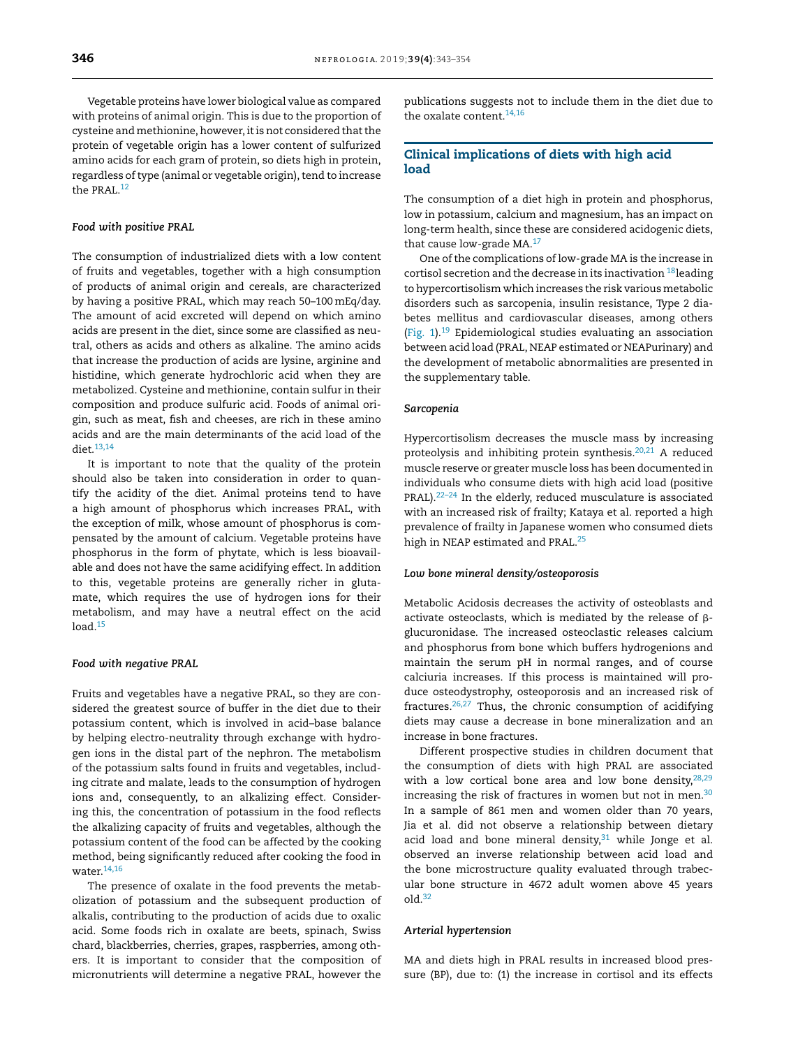Vegetable proteins have lower biological value as compared with proteins of animal origin. This is due to the proportion of cysteine and methionine, however, itis not considered thatthe protein of vegetable origin has a lower content of sulfurized amino acids for each gram of protein, so diets high in protein, regardless of type (animal or vegetable origin), tend to increase the PRAL.<sup>[12](#page-8-0)</sup>

## *Food with positive PRAL*

The consumption of industrialized diets with a low content of fruits and vegetables, together with a high consumption of products of animal origin and cereals, are characterized by having a positive PRAL, which may reach 50–100mEq/day. The amount of acid excreted will depend on which amino acids are present in the diet, since some are classified as neutral, others as acids and others as alkaline. The amino acids that increase the production of acids are lysine, arginine and histidine, which generate hydrochloric acid when they are metabolized. Cysteine and methionine, contain sulfur in their composition and produce sulfuric acid. Foods of animal origin, such as meat, fish and cheeses, are rich in these amino acids and are the main determinants of the acid load of the diet.[13,14](#page-8-0)

It is important to note that the quality of the protein should also be taken into consideration in order to quantify the acidity of the diet. Animal proteins tend to have a high amount of phosphorus which increases PRAL, with the exception of milk, whose amount of phosphorus is compensated by the amount of calcium. Vegetable proteins have phosphorus in the form of phytate, which is less bioavailable and does not have the same acidifying effect. In addition to this, vegetable proteins are generally richer in glutamate, which requires the use of hydrogen ions for their metabolism, and may have a neutral effect on the acid load.<sup>[15](#page-8-0)</sup>

## *Food with negative PRAL*

Fruits and vegetables have a negative PRAL, so they are considered the greatest source of buffer in the diet due to their potassium content, which is involved in acid–base balance by helping electro-neutrality through exchange with hydrogen ions in the distal part of the nephron. The metabolism of the potassium salts found in fruits and vegetables, including citrate and malate, leads to the consumption of hydrogen ions and, consequently, to an alkalizing effect. Considering this, the concentration of potassium in the food reflects the alkalizing capacity of fruits and vegetables, although the potassium content of the food can be affected by the cooking method, being significantly reduced after cooking the food in water.[14,16](#page-8-0)

The presence of oxalate in the food prevents the metabolization of potassium and the subsequent production of alkalis, contributing to the production of acids due to oxalic acid. Some foods rich in oxalate are beets, spinach, Swiss chard, blackberries, cherries, grapes, raspberries, among others. It is important to consider that the composition of micronutrients will determine a negative PRAL, however the

publications suggests not to include them in the diet due to the oxalate content.<sup>[14,16](#page-8-0)</sup>

## Clinical implications of diets with high acid load

The consumption of a diet high in protein and phosphorus, low in potassium, calcium and magnesium, has an impact on long-term health, since these are considered acidogenic diets, that cause low-grade MA.<sup>[17](#page-8-0)</sup>

One of the complications of low-grade MA is the increase in cortisol secretion and the decrease in its inactivation [18](#page-9-0)leading to hypercortisolism which increases the risk various metabolic disorders such as sarcopenia, insulin resistance, Type 2 diabetes mellitus and cardiovascular diseases, among others ([Fig.](#page-2-0) 1).[19](#page-9-0) Epidemiological studies evaluating an association between acid load (PRAL, NEAP estimated or NEAPurinary) and the development of metabolic abnormalities are presented in the supplementary table.

## *Sarcopenia*

Hypercortisolism decreases the muscle mass by increasing proteolysis and inhibiting protein synthesis.<sup>[20,21](#page-9-0)</sup> A reduced muscle reserve or greater muscle loss has been documented in individuals who consume diets with high acid load (positive PRAL).<sup>[22–24](#page-9-0)</sup> In the elderly, reduced musculature is associated with an increased risk of frailty; Kataya et al. reported a high prevalence of frailty in Japanese women who consumed diets high in NEAP estimated and PRAL.<sup>[25](#page-9-0)</sup>

#### *Low bone mineral density/osteoporosis*

Metabolic Acidosis decreases the activity of osteoblasts and activate osteoclasts, which is mediated by the release of  $\beta$ glucuronidase. The increased osteoclastic releases calcium and phosphorus from bone which buffers hydrogenions and maintain the serum pH in normal ranges, and of course calciuria increases. If this process is maintained will produce osteodystrophy, osteoporosis and an increased risk of fractures. $26,27$  Thus, the chronic consumption of acidifying diets may cause a decrease in bone mineralization and an increase in bone fractures.

Different prospective studies in children document that the consumption of diets with high PRAL are associated with a low cortical bone area and low bone density,  $28,29$ increasing the risk of fractures in women but not in men.<sup>[30](#page-9-0)</sup> In a sample of 861 men and women older than 70 years, Jia et al. did not observe a relationship between dietary acid load and bone mineral density, $31$  while Jonge et al. observed an inverse relationship between acid load and the bone microstructure quality evaluated through trabecular bone structure in 4672 adult women above 45 years old.[32](#page-9-0)

#### *Arterial hypertension*

MA and diets high in PRAL results in increased blood pressure (BP), due to: (1) the increase in cortisol and its effects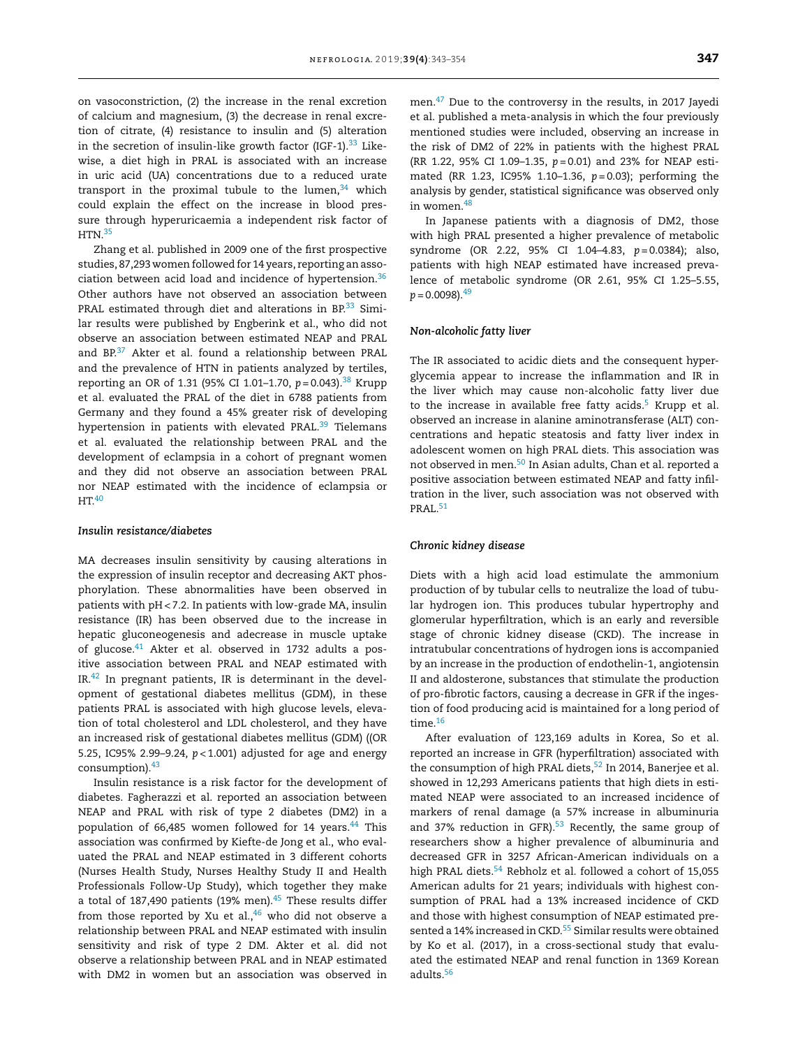on vasoconstriction, (2) the increase in the renal excretion of calcium and magnesium, (3) the decrease in renal excretion of citrate, (4) resistance to insulin and (5) alteration in the secretion of insulin-like growth factor (IGF-1). $^{33}$  $^{33}$  $^{33}$  Likewise, a diet high in PRAL is associated with an increase in uric acid (UA) concentrations due to a reduced urate transport in the proximal tubule to the lumen, $34$  which could explain the effect on the increase in blood pressure through hyperuricaemia a independent risk factor of HTN.<sup>[35](#page-9-0)</sup>

Zhang et al. published in 2009 one of the first prospective studies, 87,293 women followed for 14 years, reporting an asso-ciation between acid load and incidence of hypertension.<sup>[36](#page-9-0)</sup> Other authors have not observed an association between PRAL estimated through diet and alterations in BP.<sup>[33](#page-9-0)</sup> Similar results were published by Engberink et al., who did not observe an association between estimated NEAP and PRAL and BP.[37](#page-9-0) Akter et al. found a relationship between PRAL and the prevalence of HTN in patients analyzed by tertiles, reporting an OR of 1.31 (95% CI 1.01-1.70,  $p = 0.043$ ).<sup>[38](#page-9-0)</sup> Krupp et al. evaluated the PRAL of the diet in 6788 patients from Germany and they found a 45% greater risk of developing hypertension in patients with elevated PRAL.<sup>[39](#page-9-0)</sup> Tielemans et al. evaluated the relationship between PRAL and the development of eclampsia in a cohort of pregnant women and they did not observe an association between PRAL nor NEAP estimated with the incidence of eclampsia or HT.[40](#page-9-0)

#### *Insulin resistance/diabetes*

MA decreases insulin sensitivity by causing alterations in the expression of insulin receptor and decreasing AKT phosphorylation. These abnormalities have been observed in patients with pH < 7.2. In patients with low-grade MA, insulin resistance (IR) has been observed due to the increase in hepatic gluconeogenesis and adecrease in muscle uptake of glucose.<sup>[41](#page-9-0)</sup> Akter et al. observed in 1732 adults a positive association between PRAL and NEAP estimated with IR.[42](#page-9-0) In pregnant patients, IR is determinant in the development of gestational diabetes mellitus (GDM), in these patients PRAL is associated with high glucose levels, elevation of total cholesterol and LDL cholesterol, and they have an increased risk of gestational diabetes mellitus (GDM) ((OR 5.25, IC95% 2.99–9.24, *p* < 1.001) adjusted for age and energy consumption).<sup>[43](#page-9-0)</sup>

Insulin resistance is a risk factor for the development of diabetes. Fagherazzi et al. reported an association between NEAP and PRAL with risk of type 2 diabetes (DM2) in a population of 66,485 women followed for 14 years. $44$  This association was confirmed by Kiefte-de Jong et al., who evaluated the PRAL and NEAP estimated in 3 different cohorts (Nurses Health Study, Nurses Healthy Study II and Health Professionals Follow-Up Study), which together they make a total of 187,490 patients (19% men). $45$  These results differ from those reported by Xu et al., $46$  who did not observe a relationship between PRAL and NEAP estimated with insulin sensitivity and risk of type 2 DM. Akter et al. did not observe a relationship between PRAL and in NEAP estimated with DM2 in women but an association was observed in men.[47](#page-9-0) Due to the controversy in the results, in 2017 Jayedi et al. published a meta-analysis in which the four previously mentioned studies were included, observing an increase in the risk of DM2 of 22% in patients with the highest PRAL (RR 1.22, 95% CI 1.09–1.35, *p* = 0.01) and 23% for NEAP estimated (RR 1.23, IC95% 1.10–1.36, *p* = 0.03); performing the analysis by gender, statistical significance was observed only in women.[48](#page-10-0)

In Japanese patients with a diagnosis of DM2, those with high PRAL presented a higher prevalence of metabolic syndrome (OR 2.22, 95% CI 1.04–4.83, *p* = 0.0384); also, patients with high NEAP estimated have increased prevalence of metabolic syndrome (OR 2.61, 95% CI 1.25–5.55,  $p = 0.0098$ ). <sup>[49](#page-10-0)</sup>

#### *Non-alcoholic fatty liver*

The IR associated to acidic diets and the consequent hyperglycemia appear to increase the inflammation and IR in the liver which may cause non-alcoholic fatty liver due to the increase in available free fatty acids.<sup>[5](#page-8-0)</sup> Krupp et al. observed an increase in alanine aminotransferase (ALT) concentrations and hepatic steatosis and fatty liver index in adolescent women on high PRAL diets. This association was not observed in men.<sup>[50](#page-10-0)</sup> In Asian adults, Chan et al. reported a positive association between estimated NEAP and fatty infiltration in the liver, such association was not observed with PRAL.<sup>[51](#page-10-0)</sup>

#### *Chronic kidney disease*

Diets with a high acid load estimulate the ammonium production of by tubular cells to neutralize the load of tubular hydrogen ion. This produces tubular hypertrophy and glomerular hyperfiltration, which is an early and reversible stage of chronic kidney disease (CKD). The increase in intratubular concentrations of hydrogen ions is accompanied by an increase in the production of endothelin-1, angiotensin II and aldosterone, substances that stimulate the production of pro-fibrotic factors, causing a decrease in GFR if the ingestion of food producing acid is maintained for a long period of time.<sup>[16](#page-8-0)</sup>

After evaluation of 123,169 adults in Korea, So et al. reported an increase in GFR (hyperfiltration) associated with the consumption of high PRAL diets,  $52$  In 2014, Banerjee et al. showed in 12,293 Americans patients that high diets in estimated NEAP were associated to an increased incidence of markers of renal damage (a 57% increase in albuminuria and 37% reduction in GFR). $53$  Recently, the same group of researchers show a higher prevalence of albuminuria and decreased GFR in 3257 African-American individuals on a high PRAL diets.<sup>[54](#page-10-0)</sup> Rebholz et al. followed a cohort of 15,055 American adults for 21 years; individuals with highest consumption of PRAL had a 13% increased incidence of CKD and those with highest consumption of NEAP estimated pre-sented a 14% increased in CKD.<sup>[55](#page-10-0)</sup> Similar results were obtained by Ko et al. (2017), in a cross-sectional study that evaluated the estimated NEAP and renal function in 1369 Korean adults.<sup>[56](#page-10-0)</sup>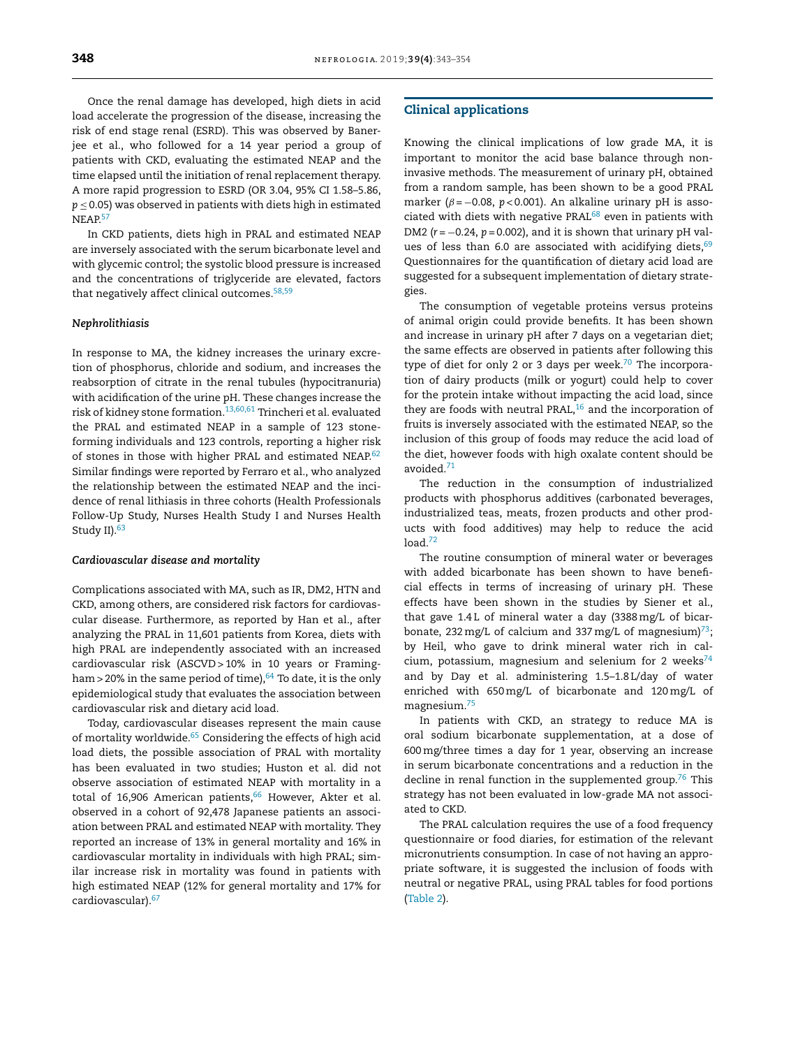Once the renal damage has developed, high diets in acid load accelerate the progression of the disease, increasing the risk of end stage renal (ESRD). This was observed by Banerjee et al., who followed for a 14 year period a group of patients with CKD, evaluating the estimated NEAP and the time elapsed until the initiation of renal replacement therapy. A more rapid progression to ESRD (OR 3.04, 95% CI 1.58–5.86, *p* ≤ 0.05) was observed in patients with diets high in estimated  $NEAP.<sup>57</sup>$  $NEAP.<sup>57</sup>$  $NEAP.<sup>57</sup>$ 

In CKD patients, diets high in PRAL and estimated NEAP are inversely associated with the serum bicarbonate level and with glycemic control; the systolic blood pressure is increased and the concentrations of triglyceride are elevated, factors that negatively affect clinical outcomes.<sup>[58,59](#page-10-0)</sup>

#### *Nephrolithiasis*

In response to MA, the kidney increases the urinary excretion of phosphorus, chloride and sodium, and increases the reabsorption of citrate in the renal tubules (hypocitranuria) with acidification of the urine pH. These changes increase the risk of kidney stone formation.[13,60,61](#page-8-0) Trincheri et al. evaluated the PRAL and estimated NEAP in a sample of 123 stoneforming individuals and 123 controls, reporting a higher risk of stones in those with higher PRAL and estimated NEAP.<sup>[62](#page-10-0)</sup> Similar findings were reported by Ferraro et al., who analyzed the relationship between the estimated NEAP and the incidence of renal lithiasis in three cohorts (Health Professionals Follow-Up Study, Nurses Health Study I and Nurses Health Study II).<sup>[63](#page-10-0)</sup>

#### *Cardiovascular disease and mortality*

Complications associated with MA, such as IR, DM2, HTN and CKD, among others, are considered risk factors for cardiovascular disease. Furthermore, as reported by Han et al., after analyzing the PRAL in 11,601 patients from Korea, diets with high PRAL are independently associated with an increased cardiovascular risk (ASCVD > 10% in 10 years or Framingham > 20% in the same period of time), $64$  To date, it is the only epidemiological study that evaluates the association between cardiovascular risk and dietary acid load.

Today, cardiovascular diseases represent the main cause of mortality worldwide.<sup>[65](#page-10-0)</sup> Considering the effects of high acid load diets, the possible association of PRAL with mortality has been evaluated in two studies; Huston et al. did not observe association of estimated NEAP with mortality in a total of 16,906 American patients,<sup>[66](#page-10-0)</sup> However, Akter et al. observed in a cohort of 92,478 Japanese patients an association between PRAL and estimated NEAP with mortality. They reported an increase of 13% in general mortality and 16% in cardiovascular mortality in individuals with high PRAL; similar increase risk in mortality was found in patients with high estimated NEAP (12% for general mortality and 17% for cardiovascular).[67](#page-10-0)

## Clinical applications

Knowing the clinical implications of low grade MA, it is important to monitor the acid base balance through noninvasive methods. The measurement of urinary pH, obtained from a random sample, has been shown to be a good PRAL marker ( $\beta$  = -0.08,  $p$  < 0.001). An alkaline urinary pH is asso-ciated with diets with negative PRAL<sup>[68](#page-10-0)</sup> even in patients with DM2 (*r* = −0.24, *p* = 0.002), and it is shown that urinary pH values of less than 6.0 are associated with acidifying diets,  $69$ Questionnaires for the quantification of dietary acid load are suggested for a subsequent implementation of dietary strategies.

The consumption of vegetable proteins versus proteins of animal origin could provide benefits. It has been shown and increase in urinary pH after 7 days on a vegetarian diet; the same effects are observed in patients after following this type of diet for only 2 or 3 days per week.<sup>[70](#page-10-0)</sup> The incorporation of dairy products (milk or yogurt) could help to cover for the protein intake without impacting the acid load, since they are foods with neutral PRAL, $16$  and the incorporation of fruits is inversely associated with the estimated NEAP, so the inclusion of this group of foods may reduce the acid load of the diet, however foods with high oxalate content should be avoided.[71](#page-10-0)

The reduction in the consumption of industrialized products with phosphorus additives (carbonated beverages, industrialized teas, meats, frozen products and other products with food additives) may help to reduce the acid load.<sup>[72](#page-10-0)</sup>

The routine consumption of mineral water or beverages with added bicarbonate has been shown to have beneficial effects in terms of increasing of urinary pH. These effects have been shown in the studies by Siener et al., that gave 1.4 L of mineral water a day (3388mg/L of bicar-bonate, 232 mg/L of calcium and 337 mg/L of magnesium)<sup>[73](#page-10-0)</sup>; by Heil, who gave to drink mineral water rich in cal-cium, potassium, magnesium and selenium for 2 weeks<sup>[74](#page-10-0)</sup> and by Day et al. administering 1.5–1.8 L/day of water enriched with 650mg/L of bicarbonate and 120mg/L of magnesium.<sup>[75](#page-10-0)</sup>

In patients with CKD, an strategy to reduce MA is oral sodium bicarbonate supplementation, at a dose of 600mg/three times a day for 1 year, observing an increase in serum bicarbonate concentrations and a reduction in the decline in renal function in the supplemented group.<sup>[76](#page-11-0)</sup> This strategy has not been evaluated in low-grade MA not associated to CKD.

The PRAL calculation requires the use of a food frequency questionnaire or food diaries, for estimation of the relevant micronutrients consumption. In case of not having an appropriate software, it is suggested the inclusion of foods with neutral or negative PRAL, using PRAL tables for food portions ([Table](#page-6-0) 2).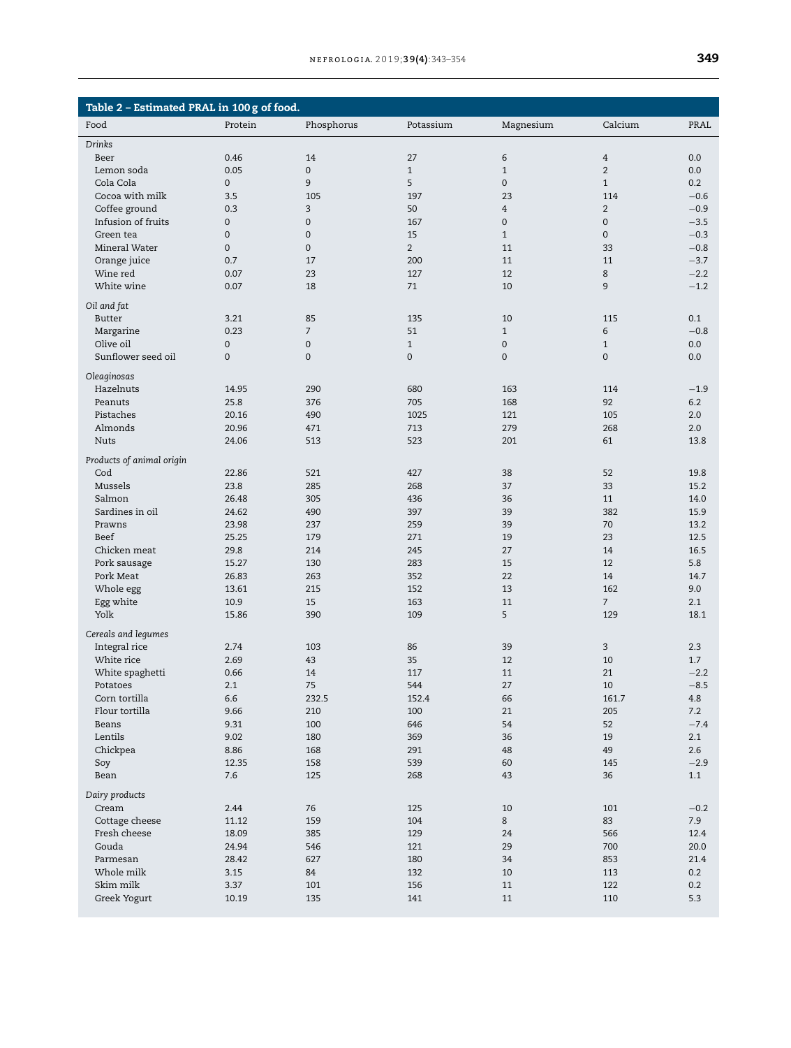<span id="page-6-0"></span>

| Table 2 - Estimated PRAL in 100 g of food. |              |                |                |                |                |         |  |  |  |
|--------------------------------------------|--------------|----------------|----------------|----------------|----------------|---------|--|--|--|
| Food                                       | Protein      | Phosphorus     | Potassium      | Magnesium      | Calcium        | PRAL    |  |  |  |
| Drinks                                     |              |                |                |                |                |         |  |  |  |
| Beer                                       | 0.46         | 14             | 27             | 6              | $\overline{4}$ | 0.0     |  |  |  |
| Lemon soda                                 | 0.05         | $\mathbf 0$    | $1\,$          | $\mathbf{1}$   | $\overline{2}$ | 0.0     |  |  |  |
| Cola Cola                                  | $\mathbf{0}$ | 9              | 5              | $\mathbf{0}$   | $\mathbf{1}$   | 0.2     |  |  |  |
| Cocoa with milk                            | 3.5          | 105            | 197            | 23             | 114            | $-0.6$  |  |  |  |
| Coffee ground                              | 0.3          | 3              | 50             | $\overline{4}$ | $\overline{2}$ | $-0.9$  |  |  |  |
| Infusion of fruits                         | $\mathbf{0}$ | $\mathsf 0$    | 167            | $\overline{0}$ | $\mathbf 0$    | $-3.5$  |  |  |  |
| Green tea                                  | $\pmb{0}$    | $\pmb{0}$      | 15             | $\mathbf{1}$   | $\mathbf 0$    | $-0.3$  |  |  |  |
| Mineral Water                              | $\mathsf 0$  | $\mathsf 0$    | $\overline{2}$ | 11             | 33             | $-0.8$  |  |  |  |
| Orange juice                               | 0.7          | 17             | 200            | 11             | 11             | $-3.7$  |  |  |  |
| Wine red                                   | 0.07         | 23             | 127            | 12             | 8              | $-2.2$  |  |  |  |
| White wine                                 | 0.07         | 18             | 71             | 10             | 9              | $-1.2$  |  |  |  |
| Oil and fat                                |              |                |                |                |                |         |  |  |  |
| Butter                                     | 3.21         | 85             | 135            | 10             | 115            | 0.1     |  |  |  |
| Margarine                                  | 0.23         | $\overline{7}$ | 51             | $\mathbf{1}$   | 6              | $-0.8$  |  |  |  |
| Olive oil                                  | $\pmb{0}$    | $\mathbf 0$    | $\mathbf{1}$   | $\mathbf 0$    | $\mathbf{1}$   | 0.0     |  |  |  |
| Sunflower seed oil                         | $\mathsf 0$  | $\mathsf 0$    | $\mathbf 0$    | $\mathbf 0$    | $\mathbf 0$    | 0.0     |  |  |  |
| Oleaginosas                                |              |                |                |                |                |         |  |  |  |
| Hazelnuts                                  | 14.95        | 290            | 680            | 163            | 114            | $-1.9$  |  |  |  |
| Peanuts                                    | 25.8         | 376            | 705            | 168            | 92             | 6.2     |  |  |  |
| Pistaches                                  | 20.16        | 490            | 1025           | 121            | 105            | 2.0     |  |  |  |
| Almonds                                    | 20.96        | 471            | 713            | 279            | 268            | 2.0     |  |  |  |
| <b>Nuts</b>                                | 24.06        | 513            | 523            | 201            | 61             | 13.8    |  |  |  |
| Products of animal origin                  |              |                |                |                |                |         |  |  |  |
| Cod                                        | 22.86        | 521            | 427            | 38             | 52             | 19.8    |  |  |  |
| Mussels                                    | 23.8         | 285            | 268            | 37             | 33             | 15.2    |  |  |  |
| Salmon                                     | 26.48        | 305            | 436            | 36             | 11             | 14.0    |  |  |  |
| Sardines in oil                            | 24.62        | 490            | 397            | 39             | 382            | 15.9    |  |  |  |
| Prawns                                     | 23.98        | 237            | 259            | 39             | 70             | 13.2    |  |  |  |
| Beef                                       | 25.25        | 179            | 271            | 19             | 23             | 12.5    |  |  |  |
| Chicken meat                               | 29.8         | 214            | 245            | 27             | 14             | 16.5    |  |  |  |
| Pork sausage                               | 15.27        | 130            | 283            | 15             | 12             | 5.8     |  |  |  |
| Pork Meat                                  | 26.83        | 263            | 352            | 22             | 14             | 14.7    |  |  |  |
| Whole egg                                  | 13.61        | 215            | 152            | 13             | 162            | 9.0     |  |  |  |
| Egg white                                  | 10.9         | 15             | 163            | 11             | $\overline{7}$ | 2.1     |  |  |  |
| Yolk                                       | 15.86        | 390            | 109            | 5              | 129            | 18.1    |  |  |  |
| Cereals and legumes                        |              |                |                |                |                |         |  |  |  |
| Integral rice                              | 2.74         | 103            | 86             | 39             | 3              | 2.3     |  |  |  |
| White rice                                 | 2.69         | 43             | 35             | 12             | 10             | 1.7     |  |  |  |
| White spaghetti                            | 0.66         | 14             | 117            | 11             | 21             | $-2.2$  |  |  |  |
| Potatoes                                   | 2.1          | 75             | 544            | $27\,$         | $10\,$         | $-8.5$  |  |  |  |
| Corn tortilla                              | 6.6          | 232.5          | 152.4          | 66             | 161.7          | 4.8     |  |  |  |
| Flour tortilla                             | 9.66         | 210            | 100            | 21             | 205            | $7.2\,$ |  |  |  |
| Beans                                      | 9.31         | 100            | 646            | 54             | 52             | $-7.4$  |  |  |  |
| Lentils                                    | 9.02         | 180            | 369            | 36             | 19             | 2.1     |  |  |  |
| Chickpea                                   | 8.86         | 168            | 291            | $\rm 48$       | 49             | $2.6\,$ |  |  |  |
| Soy                                        | 12.35        | 158            | 539            | 60             | 145            | $-2.9$  |  |  |  |
| Bean                                       | 7.6          | 125            | 268            | 43             | 36             | $1.1\,$ |  |  |  |
| Dairy products                             |              |                |                |                |                |         |  |  |  |
| Cream                                      | 2.44         | $76\,$         | 125            | $10\,$         | 101            | $-0.2$  |  |  |  |
| Cottage cheese                             | 11.12        | 159            | 104            | 8              | 83             | 7.9     |  |  |  |
| Fresh cheese                               | 18.09        | 385            | 129            | 24             | 566            | 12.4    |  |  |  |
| Gouda                                      | 24.94        | 546            | 121            | 29             | 700            | 20.0    |  |  |  |
| Parmesan                                   | 28.42        | 627            | 180            | 34             | 853            | 21.4    |  |  |  |
| Whole milk                                 | 3.15         | 84             | 132            | $10\,$         | 113            | 0.2     |  |  |  |
| Skim milk                                  | 3.37         | 101            | 156            | $11\,$         | 122            | 0.2     |  |  |  |
| Greek Yogurt                               | 10.19        | 135            | 141            | $11\,$         | 110            | 5.3     |  |  |  |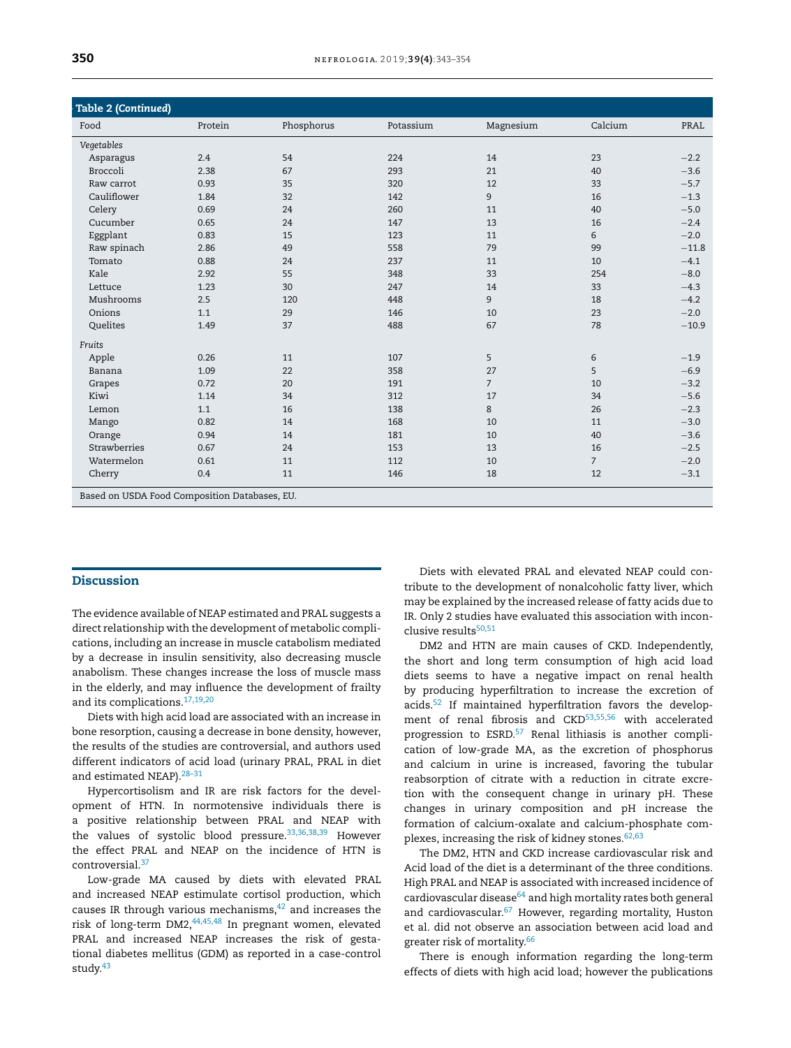| Food         | Protein | Phosphorus | Potassium | Magnesium      | Calcium        | PRAL    |
|--------------|---------|------------|-----------|----------------|----------------|---------|
| Vegetables   |         |            |           |                |                |         |
| Asparagus    | 2.4     | 54         | 224       | 14             | 23             | $-2.2$  |
| Broccoli     | 2.38    | 67         | 293       | 21             | 40             | $-3.6$  |
| Raw carrot   | 0.93    | 35         | 320       | 12             | 33             | $-5.7$  |
| Cauliflower  | 1.84    | 32         | 142       | $\overline{9}$ | 16             | $-1.3$  |
| Celery       | 0.69    | 24         | 260       | 11             | 40             | $-5.0$  |
| Cucumber     | 0.65    | 24         | 147       | 13             | 16             | $-2.4$  |
| Eggplant     | 0.83    | 15         | 123       | 11             | 6              | $-2.0$  |
| Raw spinach  | 2.86    | 49         | 558       | 79             | 99             | $-11.8$ |
| Tomato       | 0.88    | 24         | 237       | 11             | 10             | $-4.1$  |
| Kale         | 2.92    | 55         | 348       | 33             | 254            | $-8.0$  |
| Lettuce      | 1.23    | 30         | 247       | 14             | 33             | $-4.3$  |
| Mushrooms    | 2.5     | 120        | 448       | $\overline{9}$ | 18             | $-4.2$  |
| Onions       | 1.1     | 29         | 146       | 10             | 23             | $-2.0$  |
| Quelites     | 1.49    | 37         | 488       | 67             | 78             | $-10.9$ |
| Fruits       |         |            |           |                |                |         |
| Apple        | 0.26    | 11         | 107       | 5              | 6              | $-1.9$  |
| Banana       | 1.09    | 22         | 358       | 27             | 5              | $-6.9$  |
| Grapes       | 0.72    | 20         | 191       | $\overline{7}$ | 10             | $-3.2$  |
| Kiwi         | 1.14    | 34         | 312       | 17             | 34             | $-5.6$  |
| Lemon        | 1.1     | 16         | 138       | 8              | 26             | $-2.3$  |
| Mango        | 0.82    | 14         | 168       | 10             | 11             | $-3.0$  |
| Orange       | 0.94    | 14         | 181       | 10             | 40             | $-3.6$  |
| Strawberries | 0.67    | 24         | 153       | 13             | 16             | $-2.5$  |
| Watermelon   | 0.61    | 11         | 112       | 10             | $\overline{7}$ | $-2.0$  |
| Cherry       | 0.4     | 11         | 146       | 18             | 12             | $-3.1$  |

## Discussion

The evidence available of NEAP estimated and PRAL suggests a direct relationship with the development of metabolic complications, including an increase in muscle catabolism mediated by a decrease in insulin sensitivity, also decreasing muscle anabolism. These changes increase the loss of muscle mass in the elderly, and may influence the development of frailty and its complications.[17,19,20](#page-8-0)

Diets with high acid load are associated with an increase in bone resorption, causing a decrease in bone density, however, the results of the studies are controversial, and authors used different indicators of acid load (urinary PRAL, PRAL in diet and estimated NEAP).<sup>28-31</sup>

Hypercortisolism and IR are risk factors for the development of HTN. In normotensive individuals there is a positive relationship between PRAL and NEAP with the values of systolic blood pressure.<sup>[33,36,38,39](#page-9-0)</sup> However the effect PRAL and NEAP on the incidence of HTN is controversial.<sup>[37](#page-9-0)</sup>

Low-grade MA caused by diets with elevated PRAL and increased NEAP estimulate cortisol production, which causes IR through various mechanisms, $42$  and increases the risk of long-term DM2,<sup>[44,45,48](#page-9-0)</sup> In pregnant women, elevated PRAL and increased NEAP increases the risk of gestational diabetes mellitus (GDM) as reported in a case-control study.<sup>[43](#page-9-0)</sup>

Diets with elevated PRAL and elevated NEAP could contribute to the development of nonalcoholic fatty liver, which may be explained by the increased release of fatty acids due to IR. Only 2 studies have evaluated this association with incon-clusive results<sup>[50,51](#page-10-0)</sup>

DM2 and HTN are main causes of CKD. Independently, the short and long term consumption of high acid load diets seems to have a negative impact on renal health by producing hyperfiltration to increase the excretion of acids.<sup>[52](#page-10-0)</sup> If maintained hyperfiltration favors the develop-ment of renal fibrosis and CKD<sup>[53,55,56](#page-10-0)</sup> with accelerated progression to ESRD.<sup>[57](#page-10-0)</sup> Renal lithiasis is another complication of low-grade MA, as the excretion of phosphorus and calcium in urine is increased, favoring the tubular reabsorption of citrate with a reduction in citrate excretion with the consequent change in urinary pH. These changes in urinary composition and pH increase the formation of calcium-oxalate and calcium-phosphate complexes, increasing the risk of kidney stones. $62,63$ 

The DM2, HTN and CKD increase cardiovascular risk and Acid load of the diet is a determinant of the three conditions. High PRAL and NEAP is associated with increased incidence of cardiovascular disease $64$  and high mortality rates both general and cardiovascular.[67](#page-10-0) However, regarding mortality, Huston et al. did not observe an association between acid load and greater risk of mortality.<sup>[66](#page-10-0)</sup>

There is enough information regarding the long-term effects of diets with high acid load; however the publications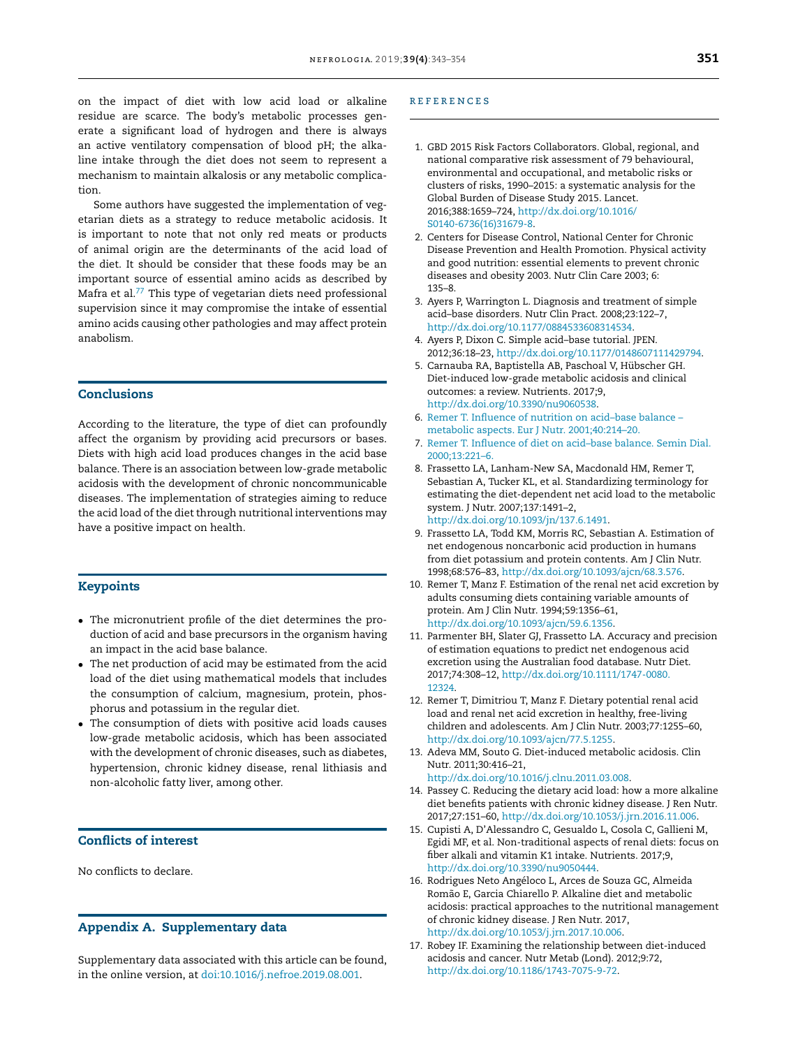<span id="page-8-0"></span>on the impact of diet with low acid load or alkaline residue are scarce. The body's metabolic processes generate a significant load of hydrogen and there is always an active ventilatory compensation of blood pH; the alkaline intake through the diet does not seem to represent a mechanism to maintain alkalosis or any metabolic complication.

Some authors have suggested the implementation of vegetarian diets as a strategy to reduce metabolic acidosis. It is important to note that not only red meats or products of animal origin are the determinants of the acid load of the diet. It should be consider that these foods may be an important source of essential amino acids as described by Mafra et al.<sup>[77](#page-11-0)</sup> This type of vegetarian diets need professional supervision since it may compromise the intake of essential amino acids causing other pathologies and may affect protein anabolism.

## Conclusions

According to the literature, the type of diet can profoundly affect the organism by providing acid precursors or bases. Diets with high acid load produces changes in the acid base balance. There is an association between low-grade metabolic acidosis with the development of chronic noncommunicable diseases. The implementation of strategies aiming to reduce the acid load of the diet through nutritional interventions may have a positive impact on health.

## Keypoints

- The micronutrient profile of the diet determines the production of acid and base precursors in the organism having an impact in the acid base balance.
- The net production of acid may be estimated from the acid load of the diet using mathematical models that includes the consumption of calcium, magnesium, protein, phosphorus and potassium in the regular diet.
- The consumption of diets with positive acid loads causes low-grade metabolic acidosis, which has been associated with the development of chronic diseases, such as diabetes, hypertension, chronic kidney disease, renal lithiasis and non-alcoholic fatty liver, among other.

## Conflicts of interest

No conflicts to declare.

## Appendix A. Supplementary data

Supplementary data associated with this article can be found, in the online version, at [doi:10.1016/j.nefroe.2019.08.001.](http://dx.doi.org/10.1016/j.nefroe.2019.08.001)

#### r e f e r enc e s

- 1. GBD 2015 Risk Factors Collaborators. Global, regional, and national comparative risk assessment of 79 behavioural, environmental and occupational, and metabolic risks or clusters of risks, 1990–2015: a systematic analysis for the Global Burden of Disease Study 2015. Lancet. 2016;388:1659–724, [http://dx.doi.org/10.1016/](dx.doi.org/10.1016/S0140-6736(16)31679-8) [S0140-6736\(16\)31679-8.](dx.doi.org/10.1016/S0140-6736(16)31679-8)
- 2. Centers for Disease Control, National Center for Chronic Disease Prevention and Health Promotion. Physical activity and good nutrition: essential elements to prevent chronic diseases and obesity 2003. Nutr Clin Care 2003; 6: 135–8.
- 3. Ayers P, Warrington L. Diagnosis and treatment of simple acid–base disorders. Nutr Clin Pract. 2008;23:122–7, [http://dx.doi.org/10.1177/0884533608314534.](dx.doi.org/10.1177/0884533608314534)
- 4. Ayers P, Dixon C. Simple acid–base tutorial. JPEN. 2012;36:18–23, [http://dx.doi.org/10.1177/0148607111429794](dx.doi.org/10.1177/0148607111429794).
- 5. Carnauba RA, Baptistella AB, Paschoal V, Hübscher GH. Diet-induced low-grade metabolic acidosis and clinical outcomes: a review. Nutrients. 2017;9, [http://dx.doi.org/10.3390/nu9060538](dx.doi.org/10.3390/nu9060538).
- 6. [Remer](http://refhub.elsevier.com/S2013-2514(19)30112-9/sbref0415) [T.](http://refhub.elsevier.com/S2013-2514(19)30112-9/sbref0415) [Influence](http://refhub.elsevier.com/S2013-2514(19)30112-9/sbref0415) [of](http://refhub.elsevier.com/S2013-2514(19)30112-9/sbref0415) [nutrition](http://refhub.elsevier.com/S2013-2514(19)30112-9/sbref0415) [on](http://refhub.elsevier.com/S2013-2514(19)30112-9/sbref0415) [acid–base](http://refhub.elsevier.com/S2013-2514(19)30112-9/sbref0415) [balance](http://refhub.elsevier.com/S2013-2514(19)30112-9/sbref0415) [–](http://refhub.elsevier.com/S2013-2514(19)30112-9/sbref0415) [metabolic](http://refhub.elsevier.com/S2013-2514(19)30112-9/sbref0415) [aspects.](http://refhub.elsevier.com/S2013-2514(19)30112-9/sbref0415) [Eur](http://refhub.elsevier.com/S2013-2514(19)30112-9/sbref0415) [J](http://refhub.elsevier.com/S2013-2514(19)30112-9/sbref0415) [Nutr.](http://refhub.elsevier.com/S2013-2514(19)30112-9/sbref0415) [2001;40:214](http://refhub.elsevier.com/S2013-2514(19)30112-9/sbref0415)–[20.](http://refhub.elsevier.com/S2013-2514(19)30112-9/sbref0415)
- 7. [Remer](http://refhub.elsevier.com/S2013-2514(19)30112-9/sbref0420) [T.](http://refhub.elsevier.com/S2013-2514(19)30112-9/sbref0420) [Influence](http://refhub.elsevier.com/S2013-2514(19)30112-9/sbref0420) [of](http://refhub.elsevier.com/S2013-2514(19)30112-9/sbref0420) [diet](http://refhub.elsevier.com/S2013-2514(19)30112-9/sbref0420) [on](http://refhub.elsevier.com/S2013-2514(19)30112-9/sbref0420) [acid](http://refhub.elsevier.com/S2013-2514(19)30112-9/sbref0420)–[base](http://refhub.elsevier.com/S2013-2514(19)30112-9/sbref0420) [balance.](http://refhub.elsevier.com/S2013-2514(19)30112-9/sbref0420) [Semin](http://refhub.elsevier.com/S2013-2514(19)30112-9/sbref0420) [Dial.](http://refhub.elsevier.com/S2013-2514(19)30112-9/sbref0420) [2000;13:221](http://refhub.elsevier.com/S2013-2514(19)30112-9/sbref0420)–[6.](http://refhub.elsevier.com/S2013-2514(19)30112-9/sbref0420)
- 8. Frassetto LA, Lanham-New SA, Macdonald HM, Remer T, Sebastian A, Tucker KL, et al. Standardizing terminology for estimating the diet-dependent net acid load to the metabolic system. J Nutr. 2007;137:1491–2, [http://dx.doi.org/10.1093/jn/137.6.1491.](dx.doi.org/10.1093/jn/137.6.1491)
- 9. Frassetto LA, Todd KM, Morris RC, Sebastian A. Estimation of net endogenous noncarbonic acid production in humans from diet potassium and protein contents. Am J Clin Nutr. 1998;68:576–83, [http://dx.doi.org/10.1093/ajcn/68.3.576](dx.doi.org/10.1093/ajcn/68.3.576).
- 10. Remer T, Manz F. Estimation of the renal net acid excretion by adults consuming diets containing variable amounts of protein. Am J Clin Nutr. 1994;59:1356–61, [http://dx.doi.org/10.1093/ajcn/59.6.1356.](dx.doi.org/10.1093/ajcn/59.6.1356)
- 11. Parmenter BH, Slater GJ, Frassetto LA. Accuracy and precision of estimation equations to predict net endogenous acid excretion using the Australian food database. Nutr Diet. 2017;74:308–12, [http://dx.doi.org/10.1111/1747-0080.](dx.doi.org/10.1111/1747-0080.12324) [12324](dx.doi.org/10.1111/1747-0080.12324).
- 12. Remer T, Dimitriou T, Manz F. Dietary potential renal acid load and renal net acid excretion in healthy, free-living children and adolescents. Am J Clin Nutr. 2003;77:1255–60, [http://dx.doi.org/10.1093/ajcn/77.5.1255.](dx.doi.org/10.1093/ajcn/77.5.1255)
- 13. Adeva MM, Souto G. Diet-induced metabolic acidosis. Clin Nutr. 2011;30:416–21, [http://dx.doi.org/10.1016/j.clnu.2011.03.008](dx.doi.org/10.1016/j.clnu.2011.03.008).
- 14. Passey C. Reducing the dietary acid load: how a more alkaline diet benefits patients with chronic kidney disease. J Ren Nutr. 2017;27:151–60, [http://dx.doi.org/10.1053/j.jrn.2016.11.006.](dx.doi.org/10.1053/j.jrn.2016.11.006)
- 15. Cupisti A, D'Alessandro C, Gesualdo L, Cosola C, Gallieni M, Egidi MF, et al. Non-traditional aspects of renal diets: focus on fiber alkali and vitamin K1 intake. Nutrients. 2017;9, [http://dx.doi.org/10.3390/nu9050444](dx.doi.org/10.3390/nu9050444).
- 16. Rodrigues Neto Angéloco L, Arces de Souza GC, Almeida Romão E, Garcia Chiarello P. Alkaline diet and metabolic acidosis: practical approaches to the nutritional management of chronic kidney disease. J Ren Nutr. 2017, [http://dx.doi.org/10.1053/j.jrn.2017.10.006.](dx.doi.org/10.1053/j.jrn.2017.10.006)
- 17. Robey IF. Examining the relationship between diet-induced acidosis and cancer. Nutr Metab (Lond). 2012;9:72, [http://dx.doi.org/10.1186/1743-7075-9-72](dx.doi.org/10.1186/1743-7075-9-72).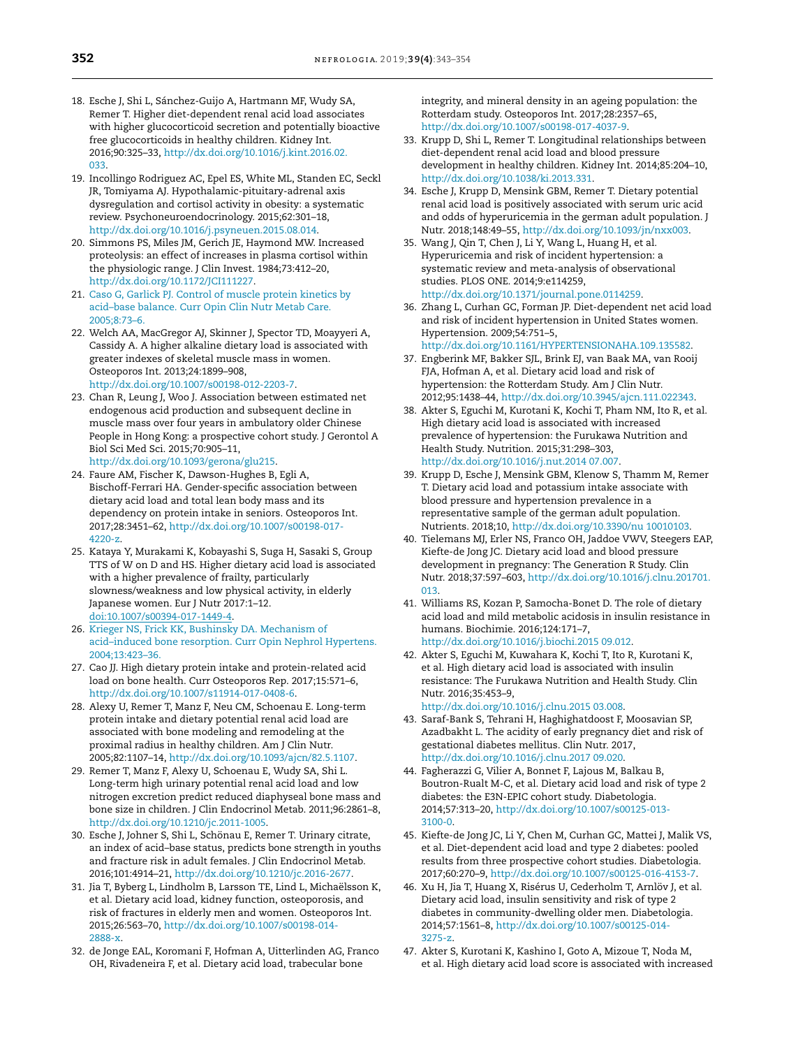- <span id="page-9-0"></span>18. Esche J, Shi L, Sánchez-Guijo A, Hartmann MF, Wudy SA, Remer T. Higher diet-dependent renal acid load associates with higher glucocorticoid secretion and potentially bioactive free glucocorticoids in healthy children. Kidney Int. 2016;90:325–33, [http://dx.doi.org/10.1016/j.kint.2016.02.](dx.doi.org/10.1016/j.kint.2016.02.033) [033](dx.doi.org/10.1016/j.kint.2016.02.033).
- 19. Incollingo Rodriguez AC, Epel ES, White ML, Standen EC, Seckl JR, Tomiyama AJ. Hypothalamic-pituitary-adrenal axis dysregulation and cortisol activity in obesity: a systematic review. Psychoneuroendocrinology. 2015;62:301–18, [http://dx.doi.org/10.1016/j.psyneuen.2015.08.014.](dx.doi.org/10.1016/j.psyneuen.2015.08.014)
- 20. Simmons PS, Miles JM, Gerich JE, Haymond MW. Increased proteolysis: an effect of increases in plasma cortisol within the physiologic range. J Clin Invest. 1984;73:412–20, [http://dx.doi.org/10.1172/JCI111227.](dx.doi.org/10.1172/JCI111227)
- 21. [Caso](http://refhub.elsevier.com/S2013-2514(19)30112-9/sbref0490) [G,](http://refhub.elsevier.com/S2013-2514(19)30112-9/sbref0490) [Garlick](http://refhub.elsevier.com/S2013-2514(19)30112-9/sbref0490) [PJ.](http://refhub.elsevier.com/S2013-2514(19)30112-9/sbref0490) [Control](http://refhub.elsevier.com/S2013-2514(19)30112-9/sbref0490) [of](http://refhub.elsevier.com/S2013-2514(19)30112-9/sbref0490) [muscle](http://refhub.elsevier.com/S2013-2514(19)30112-9/sbref0490) [protein](http://refhub.elsevier.com/S2013-2514(19)30112-9/sbref0490) [kinetics](http://refhub.elsevier.com/S2013-2514(19)30112-9/sbref0490) [by](http://refhub.elsevier.com/S2013-2514(19)30112-9/sbref0490) [acid–base](http://refhub.elsevier.com/S2013-2514(19)30112-9/sbref0490) [balance.](http://refhub.elsevier.com/S2013-2514(19)30112-9/sbref0490) [Curr](http://refhub.elsevier.com/S2013-2514(19)30112-9/sbref0490) [Opin](http://refhub.elsevier.com/S2013-2514(19)30112-9/sbref0490) [Clin](http://refhub.elsevier.com/S2013-2514(19)30112-9/sbref0490) [Nutr](http://refhub.elsevier.com/S2013-2514(19)30112-9/sbref0490) [Metab](http://refhub.elsevier.com/S2013-2514(19)30112-9/sbref0490) [Care.](http://refhub.elsevier.com/S2013-2514(19)30112-9/sbref0490) [2005;8:73](http://refhub.elsevier.com/S2013-2514(19)30112-9/sbref0490)–[6.](http://refhub.elsevier.com/S2013-2514(19)30112-9/sbref0490)
- 22. Welch AA, MacGregor AJ, Skinner J, Spector TD, Moayyeri A, Cassidy A. A higher alkaline dietary load is associated with greater indexes of skeletal muscle mass in women. Osteoporos Int. 2013;24:1899–908, [http://dx.doi.org/10.1007/s00198-012-2203-7.](dx.doi.org/10.1007/s00198-012-2203-7)
- 23. Chan R, Leung J, Woo J. Association between estimated net endogenous acid production and subsequent decline in muscle mass over four years in ambulatory older Chinese People in Hong Kong: a prospective cohort study. J Gerontol A Biol Sci Med Sci. 2015;70:905–11, [http://dx.doi.org/10.1093/gerona/glu215](dx.doi.org/10.1093/gerona/glu215).
- 24. Faure AM, Fischer K, Dawson-Hughes B, Egli A, Bischoff-Ferrari HA. Gender-specific association between dietary acid load and total lean body mass and its dependency on protein intake in seniors. Osteoporos Int. 2017;28:3451–62, [http://dx.doi.org/10.1007/s00198-017-](dx.doi.org/10.1007/s00198-017-4220-z) [4220-z](dx.doi.org/10.1007/s00198-017-4220-z).
- 25. Kataya Y, Murakami K, Kobayashi S, Suga H, Sasaki S, Group TTS of W on D and HS. Higher dietary acid load is associated with a higher prevalence of frailty, particularly slowness/weakness and low physical activity, in elderly Japanese women. Eur J Nutr 2017:1–12. [doi:10.1007/s00394-017-1449-4.](http://dx.doi.org/10.1007/s00394-017-1449-4)
- 26. [Krieger](http://refhub.elsevier.com/S2013-2514(19)30112-9/sbref0515) [NS,](http://refhub.elsevier.com/S2013-2514(19)30112-9/sbref0515) [Frick](http://refhub.elsevier.com/S2013-2514(19)30112-9/sbref0515) [KK,](http://refhub.elsevier.com/S2013-2514(19)30112-9/sbref0515) [Bushinsky](http://refhub.elsevier.com/S2013-2514(19)30112-9/sbref0515) [DA.](http://refhub.elsevier.com/S2013-2514(19)30112-9/sbref0515) [Mechanism](http://refhub.elsevier.com/S2013-2514(19)30112-9/sbref0515) [of](http://refhub.elsevier.com/S2013-2514(19)30112-9/sbref0515) [acid–induced](http://refhub.elsevier.com/S2013-2514(19)30112-9/sbref0515) [bone](http://refhub.elsevier.com/S2013-2514(19)30112-9/sbref0515) [resorption.](http://refhub.elsevier.com/S2013-2514(19)30112-9/sbref0515) [Curr](http://refhub.elsevier.com/S2013-2514(19)30112-9/sbref0515) [Opin](http://refhub.elsevier.com/S2013-2514(19)30112-9/sbref0515) [Nephrol](http://refhub.elsevier.com/S2013-2514(19)30112-9/sbref0515) [Hypertens.](http://refhub.elsevier.com/S2013-2514(19)30112-9/sbref0515) [2004;13:423](http://refhub.elsevier.com/S2013-2514(19)30112-9/sbref0515)–[36.](http://refhub.elsevier.com/S2013-2514(19)30112-9/sbref0515)
- 27. Cao JJ. High dietary protein intake and protein-related acid load on bone health. Curr Osteoporos Rep. 2017;15:571–6, [http://dx.doi.org/10.1007/s11914-017-0408-6.](dx.doi.org/10.1007/s11914-017-0408-6)
- 28. Alexy U, Remer T, Manz F, Neu CM, Schoenau E. Long-term protein intake and dietary potential renal acid load are associated with bone modeling and remodeling at the proximal radius in healthy children. Am J Clin Nutr. 2005;82:1107–14, [http://dx.doi.org/10.1093/ajcn/82.5.1107](dx.doi.org/10.1093/ajcn/82.5.1107).
- 29. Remer T, Manz F, Alexy U, Schoenau E, Wudy SA, Shi L. Long-term high urinary potential renal acid load and low nitrogen excretion predict reduced diaphyseal bone mass and bone size in children. J Clin Endocrinol Metab. 2011;96:2861–8, [http://dx.doi.org/10.1210/jc.2011-1005](dx.doi.org/10.1210/jc.2011-1005).
- 30. Esche J, Johner S, Shi L, Schönau E, Remer T. Urinary citrate, an index of acid–base status, predicts bone strength in youths and fracture risk in adult females. J Clin Endocrinol Metab. 2016;101:4914–21, [http://dx.doi.org/10.1210/jc.2016-2677](dx.doi.org/10.1210/jc.2016-2677).
- 31. Jia T, Byberg L, Lindholm B, Larsson TE, Lind L, Michaëlsson K, et al. Dietary acid load, kidney function, osteoporosis, and risk of fractures in elderly men and women. Osteoporos Int. 2015;26:563–70, [http://dx.doi.org/10.1007/s00198-014-](dx.doi.org/10.1007/s00198-014-2888-x) [2888-x.](dx.doi.org/10.1007/s00198-014-2888-x)
- 32. de Jonge EAL, Koromani F, Hofman A, Uitterlinden AG, Franco OH, Rivadeneira F, et al. Dietary acid load, trabecular bone

integrity, and mineral density in an ageing population: the Rotterdam study. Osteoporos Int. 2017;28:2357–65, [http://dx.doi.org/10.1007/s00198-017-4037-9.](dx.doi.org/10.1007/s00198-017-4037-9)

- 33. Krupp D, Shi L, Remer T. Longitudinal relationships between diet-dependent renal acid load and blood pressure development in healthy children. Kidney Int. 2014;85:204–10, [http://dx.doi.org/10.1038/ki.2013.331.](dx.doi.org/10.1038/ki.2013.331)
- 34. Esche J, Krupp D, Mensink GBM, Remer T. Dietary potential renal acid load is positively associated with serum uric acid and odds of hyperuricemia in the german adult population. J Nutr. 2018;148:49–55, [http://dx.doi.org/10.1093/jn/nxx003](dx.doi.org/10.1093/jn/nxx003).
- 35. Wang J, Qin T, Chen J, Li Y, Wang L, Huang H, et al. Hyperuricemia and risk of incident hypertension: a systematic review and meta-analysis of observational studies. PLOS ONE. 2014;9:e114259, [http://dx.doi.org/10.1371/journal.pone.0114259.](dx.doi.org/10.1371/journal.pone.0114259)
- 36. Zhang L, Curhan GC, Forman JP. Diet-dependent net acid load and risk of incident hypertension in United States women. Hypertension. 2009;54:751–5, [http://dx.doi.org/10.1161/HYPERTENSIONAHA.109.135582](dx.doi.org/10.1161/HYPERTENSIONAHA.109.135582).
- 37. Engberink MF, Bakker SJL, Brink EJ, van Baak MA, van Rooij FJA, Hofman A, et al. Dietary acid load and risk of hypertension: the Rotterdam Study. Am J Clin Nutr. 2012;95:1438–44, [http://dx.doi.org/10.3945/ajcn.111.022343.](dx.doi.org/10.3945/ajcn.111.022343)
- 38. Akter S, Eguchi M, Kurotani K, Kochi T, Pham NM, Ito R, et al. High dietary acid load is associated with increased prevalence of hypertension: the Furukawa Nutrition and Health Study. Nutrition. 2015;31:298–303, [http://dx.doi.org/10.1016/j.nut.2014](dx.doi.org/10.1016/j.nut.2014 07.007) 07.007.
- 39. Krupp D, Esche J, Mensink GBM, Klenow S, Thamm M, Remer T. Dietary acid load and potassium intake associate with blood pressure and hypertension prevalence in a representative sample of the german adult population. Nutrients. 2018;10, [http://dx.doi.org/10.3390/nu](dx.doi.org/10.3390/nu 10010103) 10010103.
- 40. Tielemans MJ, Erler NS, Franco OH, Jaddoe VWV, Steegers EAP, Kiefte-de Jong JC. Dietary acid load and blood pressure development in pregnancy: The Generation R Study. Clin Nutr. 2018;37:597–603, [http://dx.doi.org/10.1016/j.clnu.201701.](dx.doi.org/10.1016/j.clnu.201701.013) [013](dx.doi.org/10.1016/j.clnu.201701.013).
- 41. Williams RS, Kozan P, Samocha-Bonet D. The role of dietary acid load and mild metabolic acidosis in insulin resistance in humans. Biochimie. 2016;124:171–7, [http://dx.doi.org/10.1016/j.biochi.2015](dx.doi.org/10.1016/j.biochi.2015 09.012) 09.012.
- 42. Akter S, Eguchi M, Kuwahara K, Kochi T, Ito R, Kurotani K, et al. High dietary acid load is associated with insulin resistance: The Furukawa Nutrition and Health Study. Clin Nutr. 2016;35:453–9, [http://dx.doi.org/10.1016/j.clnu.2015](dx.doi.org/10.1016/j.clnu.2015 03.008) 03.008.
- 43. Saraf-Bank S, Tehrani H, Haghighatdoost F, Moosavian SP, Azadbakht L. The acidity of early pregnancy diet and risk of gestational diabetes mellitus. Clin Nutr. 2017, [http://dx.doi.org/10.1016/j.clnu.2017](dx.doi.org/10.1016/j.clnu.2017 09.020) 09.020.
- 44. Fagherazzi G, Vilier A, Bonnet F, Lajous M, Balkau B, Boutron-Rualt M-C, et al. Dietary acid load and risk of type 2 diabetes: the E3N-EPIC cohort study. Diabetologia. 2014;57:313–20, [http://dx.doi.org/10.1007/s00125-013-](dx.doi.org/10.1007/s00125-013-3100-0) [3100-0](dx.doi.org/10.1007/s00125-013-3100-0).
- 45. Kiefte-de Jong JC, Li Y, Chen M, Curhan GC, Mattei J, Malik VS, et al. Diet-dependent acid load and type 2 diabetes: pooled results from three prospective cohort studies. Diabetologia. 2017;60:270–9, [http://dx.doi.org/10.1007/s00125-016-4153-7](dx.doi.org/10.1007/s00125-016-4153-7).
- 46. Xu H, Jia T, Huang X, Risérus U, Cederholm T, Arnlöv J, et al. Dietary acid load, insulin sensitivity and risk of type 2 diabetes in community-dwelling older men. Diabetologia. 2014;57:1561–8, [http://dx.doi.org/10.1007/s00125-014-](dx.doi.org/10.1007/s00125-014-3275-z) [3275-z](dx.doi.org/10.1007/s00125-014-3275-z).
- 47. Akter S, Kurotani K, Kashino I, Goto A, Mizoue T, Noda M, et al. High dietary acid load score is associated with increased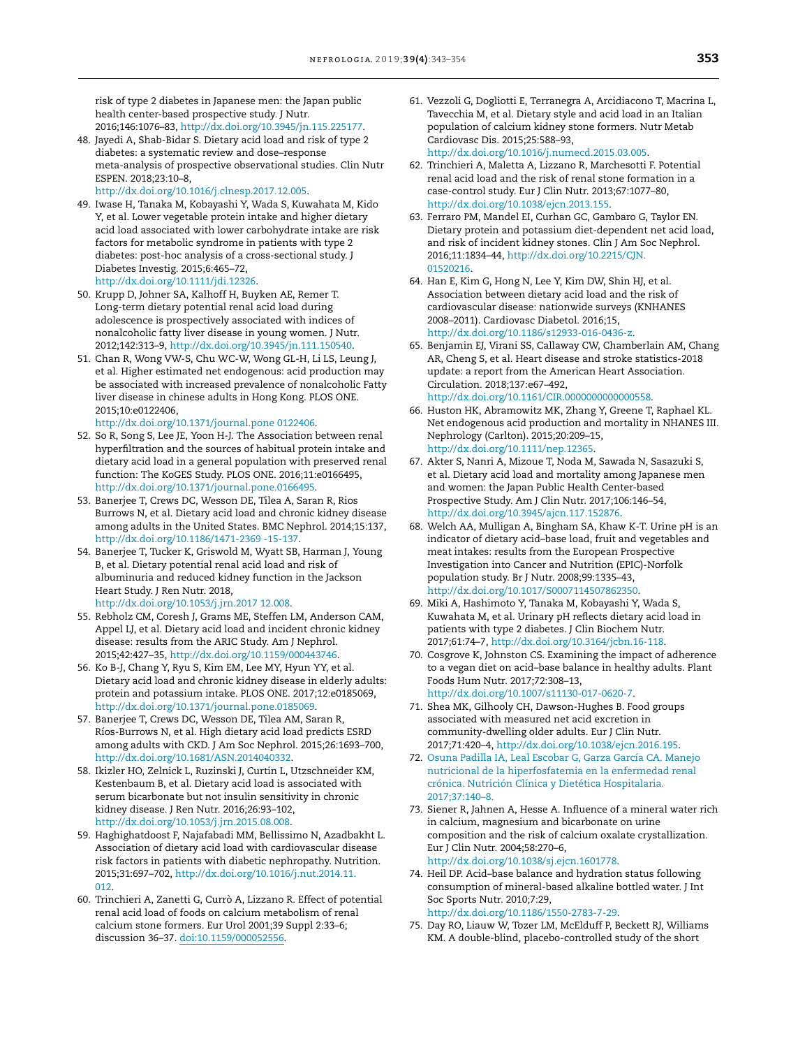<span id="page-10-0"></span>risk of type 2 diabetes in Japanese men: the Japan public health center-based prospective study. J Nutr. 2016;146:1076–83, [http://dx.doi.org/10.3945/jn.115.225177](dx.doi.org/10.3945/jn.115.225177).

48. Jayedi A, Shab-Bidar S. Dietary acid load and risk of type 2 diabetes: a systematic review and dose–response meta-analysis of prospective observational studies. Clin Nutr ESPEN. 2018;23:10–8,

[http://dx.doi.org/10.1016/j.clnesp.2017.12.005.](dx.doi.org/10.1016/j.clnesp.2017.12.005)

- 49. Iwase H, Tanaka M, Kobayashi Y, Wada S, Kuwahata M, Kido Y, et al. Lower vegetable protein intake and higher dietary acid load associated with lower carbohydrate intake are risk factors for metabolic syndrome in patients with type 2 diabetes: post-hoc analysis of a cross-sectional study. J Diabetes Investig. 2015;6:465–72, [http://dx.doi.org/10.1111/jdi.12326.](dx.doi.org/10.1111/jdi.12326)
- 50. Krupp D, Johner SA, Kalhoff H, Buyken AE, Remer T. Long-term dietary potential renal acid load during adolescence is prospectively associated with indices of nonalcoholic fatty liver disease in young women. J Nutr. 2012;142:313–9, [http://dx.doi.org/10.3945/jn.111.150540.](dx.doi.org/10.3945/jn.111.150540)
- 51. Chan R, Wong VW-S, Chu WC-W, Wong GL-H, Li LS, Leung J, et al. Higher estimated net endogenous: acid production may be associated with increased prevalence of nonalcoholic Fatty liver disease in chinese adults in Hong Kong. PLOS ONE. 2015;10:e0122406,

[http://dx.doi.org/10.1371/journal.pone](dx.doi.org/10.1371/journal.pone 0122406) 0122406.

- 52. So R, Song S, Lee JE, Yoon H-J. The Association between renal hyperfiltration and the sources of habitual protein intake and dietary acid load in a general population with preserved renal function: The KoGES Study. PLOS ONE. 2016;11:e0166495, [http://dx.doi.org/10.1371/journal.pone.0166495](dx.doi.org/10.1371/journal.pone.0166495).
- 53. Banerjee T, Crews DC, Wesson DE, Tilea A, Saran R, Rios Burrows N, et al. Dietary acid load and chronic kidney disease among adults in the United States. BMC Nephrol. 2014;15:137, [http://dx.doi.org/10.1186/1471-2369](dx.doi.org/10.1186/1471-2369 -15-137) -15-137.
- 54. Banerjee T, Tucker K, Griswold M, Wyatt SB, Harman J, Young B, et al. Dietary potential renal acid load and risk of albuminuria and reduced kidney function in the Jackson Heart Study. J Ren Nutr. 2018, [http://dx.doi.org/10.1053/j.jrn.2017](dx.doi.org/10.1053/j.jrn.2017 12.008) 12.008.
- 55. Rebholz CM, Coresh J, Grams ME, Steffen LM, Anderson CAM, Appel LJ, et al. Dietary acid load and incident chronic kidney disease: results from the ARIC Study. Am J Nephrol. 2015;42:427–35, [http://dx.doi.org/10.1159/000443746](dx.doi.org/10.1159/000443746).
- 56. Ko B-J, Chang Y, Ryu S, Kim EM, Lee MY, Hyun YY, et al. Dietary acid load and chronic kidney disease in elderly adults: protein and potassium intake. PLOS ONE. 2017;12:e0185069, [http://dx.doi.org/10.1371/journal.pone.0185069](dx.doi.org/10.1371/journal.pone.0185069).
- 57. Banerjee T, Crews DC, Wesson DE, Tilea AM, Saran R, Ríos-Burrows N, et al. High dietary acid load predicts ESRD among adults with CKD. J Am Soc Nephrol. 2015;26:1693–700, [http://dx.doi.org/10.1681/ASN.2014040332.](dx.doi.org/10.1681/ASN.2014040332)
- 58. Ikizler HO, Zelnick L, Ruzinski J, Curtin L, Utzschneider KM, Kestenbaum B, et al. Dietary acid load is associated with serum bicarbonate but not insulin sensitivity in chronic kidney disease. J Ren Nutr. 2016;26:93–102, [http://dx.doi.org/10.1053/j.jrn.2015.08.008.](dx.doi.org/10.1053/j.jrn.2015.08.008)
- 59. Haghighatdoost F, Najafabadi MM, Bellissimo N, Azadbakht L. Association of dietary acid load with cardiovascular disease risk factors in patients with diabetic nephropathy. Nutrition. 2015;31:697–702, [http://dx.doi.org/10.1016/j.nut.2014.11.](dx.doi.org/10.1016/j.nut.2014.11.012) [012.](dx.doi.org/10.1016/j.nut.2014.11.012)
- 60. Trinchieri A, Zanetti G, Currò A, Lizzano R. Effect of potential renal acid load of foods on calcium metabolism of renal calcium stone formers. Eur Urol 2001;39 Suppl 2:33–6; discussion 36-37. [doi:10.1159/000052556](http://dx.doi.org/10.1159/000052556)
- 61. Vezzoli G, Dogliotti E, Terranegra A, Arcidiacono T, Macrina L, Tavecchia M, et al. Dietary style and acid load in an Italian population of calcium kidney stone formers. Nutr Metab Cardiovasc Dis. 2015;25:588–93, [http://dx.doi.org/10.1016/j.numecd.2015.03.005](dx.doi.org/10.1016/j.numecd.2015.03.005).
- 62. Trinchieri A, Maletta A, Lizzano R, Marchesotti F. Potential renal acid load and the risk of renal stone formation in a case-control study. Eur J Clin Nutr. 2013;67:1077–80, [http://dx.doi.org/10.1038/ejcn.2013.155.](dx.doi.org/10.1038/ejcn.2013.155)
- 63. Ferraro PM, Mandel EI, Curhan GC, Gambaro G, Taylor EN. Dietary protein and potassium diet-dependent net acid load, and risk of incident kidney stones. Clin J Am Soc Nephrol. 2016;11:1834–44, [http://dx.doi.org/10.2215/CJN.](dx.doi.org/10.2215/CJN.01520216) [01520216.](dx.doi.org/10.2215/CJN.01520216)
- 64. Han E, Kim G, Hong N, Lee Y, Kim DW, Shin HJ, et al. Association between dietary acid load and the risk of cardiovascular disease: nationwide surveys (KNHANES 2008–2011). Cardiovasc Diabetol. 2016;15, [http://dx.doi.org/10.1186/s12933-016-0436-z](dx.doi.org/10.1186/s12933-016-0436-z).
- 65. Benjamin EJ, Virani SS, Callaway CW, Chamberlain AM, Chang AR, Cheng S, et al. Heart disease and stroke statistics-2018 update: a report from the American Heart Association. Circulation. 2018;137:e67–492, [http://dx.doi.org/10.1161/CIR.0000000000000558](dx.doi.org/10.1161/CIR.0000000000000558).
- 66. Huston HK, Abramowitz MK, Zhang Y, Greene T, Raphael KL. Net endogenous acid production and mortality in NHANES III. Nephrology (Carlton). 2015;20:209–15, [http://dx.doi.org/10.1111/nep.12365.](dx.doi.org/10.1111/nep.12365)
- 67. Akter S, Nanri A, Mizoue T, Noda M, Sawada N, Sasazuki S, et al. Dietary acid load and mortality among Japanese men and women: the Japan Public Health Center-based Prospective Study. Am J Clin Nutr. 2017;106:146–54, [http://dx.doi.org/10.3945/ajcn.117.152876](dx.doi.org/10.3945/ajcn.117.152876).
- 68. Welch AA, Mulligan A, Bingham SA, Khaw K-T. Urine pH is an indicator of dietary acid–base load, fruit and vegetables and meat intakes: results from the European Prospective Investigation into Cancer and Nutrition (EPIC)-Norfolk population study. Br J Nutr. 2008;99:1335–43, [http://dx.doi.org/10.1017/S0007114507862350](dx.doi.org/10.1017/S0007114507862350).
- 69. Miki A, Hashimoto Y, Tanaka M, Kobayashi Y, Wada S, Kuwahata M, et al. Urinary pH reflects dietary acid load in patients with type 2 diabetes. J Clin Biochem Nutr. 2017;61:74–7, [http://dx.doi.org/10.3164/jcbn.16-118](dx.doi.org/10.3164/jcbn.16-118).
- 70. Cosgrove K, Johnston CS. Examining the impact of adherence to a vegan diet on acid–base balance in healthy adults. Plant Foods Hum Nutr. 2017;72:308–13, [http://dx.doi.org/10.1007/s11130-017-0620-7](dx.doi.org/10.1007/s11130-017-0620-7).
- 71. Shea MK, Gilhooly CH, Dawson-Hughes B. Food groups associated with measured net acid excretion in community-dwelling older adults. Eur J Clin Nutr. 2017;71:420–4, [http://dx.doi.org/10.1038/ejcn.2016.195.](dx.doi.org/10.1038/ejcn.2016.195)
- 72. [Osuna](http://refhub.elsevier.com/S2013-2514(19)30112-9/sbref0745) [Padilla](http://refhub.elsevier.com/S2013-2514(19)30112-9/sbref0745) [IA,](http://refhub.elsevier.com/S2013-2514(19)30112-9/sbref0745) [Leal](http://refhub.elsevier.com/S2013-2514(19)30112-9/sbref0745) [Escobar](http://refhub.elsevier.com/S2013-2514(19)30112-9/sbref0745) [G,](http://refhub.elsevier.com/S2013-2514(19)30112-9/sbref0745) [Garza](http://refhub.elsevier.com/S2013-2514(19)30112-9/sbref0745) [García](http://refhub.elsevier.com/S2013-2514(19)30112-9/sbref0745) [CA.](http://refhub.elsevier.com/S2013-2514(19)30112-9/sbref0745) [Manejo](http://refhub.elsevier.com/S2013-2514(19)30112-9/sbref0745) [nutricional](http://refhub.elsevier.com/S2013-2514(19)30112-9/sbref0745) [de](http://refhub.elsevier.com/S2013-2514(19)30112-9/sbref0745) [la](http://refhub.elsevier.com/S2013-2514(19)30112-9/sbref0745) [hiperfosfatemia](http://refhub.elsevier.com/S2013-2514(19)30112-9/sbref0745) [en](http://refhub.elsevier.com/S2013-2514(19)30112-9/sbref0745) [la](http://refhub.elsevier.com/S2013-2514(19)30112-9/sbref0745) [enfermedad](http://refhub.elsevier.com/S2013-2514(19)30112-9/sbref0745) [renal](http://refhub.elsevier.com/S2013-2514(19)30112-9/sbref0745) [crónica.](http://refhub.elsevier.com/S2013-2514(19)30112-9/sbref0745) [Nutrición](http://refhub.elsevier.com/S2013-2514(19)30112-9/sbref0745) [Clínica](http://refhub.elsevier.com/S2013-2514(19)30112-9/sbref0745) [y](http://refhub.elsevier.com/S2013-2514(19)30112-9/sbref0745) [Dietética](http://refhub.elsevier.com/S2013-2514(19)30112-9/sbref0745) [Hospitalaria.](http://refhub.elsevier.com/S2013-2514(19)30112-9/sbref0745) [2017;37:140–8.](http://refhub.elsevier.com/S2013-2514(19)30112-9/sbref0745)
- 73. Siener R, Jahnen A, Hesse A. Influence of a mineral water rich in calcium, magnesium and bicarbonate on urine composition and the risk of calcium oxalate crystallization. Eur J Clin Nutr. 2004;58:270–6, [http://dx.doi.org/10.1038/sj.ejcn.1601778](dx.doi.org/10.1038/sj.ejcn.1601778).
- 74. Heil DP. Acid–base balance and hydration status following consumption of mineral-based alkaline bottled water. J Int Soc Sports Nutr. 2010;7:29, [http://dx.doi.org/10.1186/1550-2783-7-29](dx.doi.org/10.1186/1550-2783-7-29).
- 75. Day RO, Liauw W, Tozer LM, McElduff P, Beckett RJ, Williams KM. A double-blind, placebo-controlled study of the short